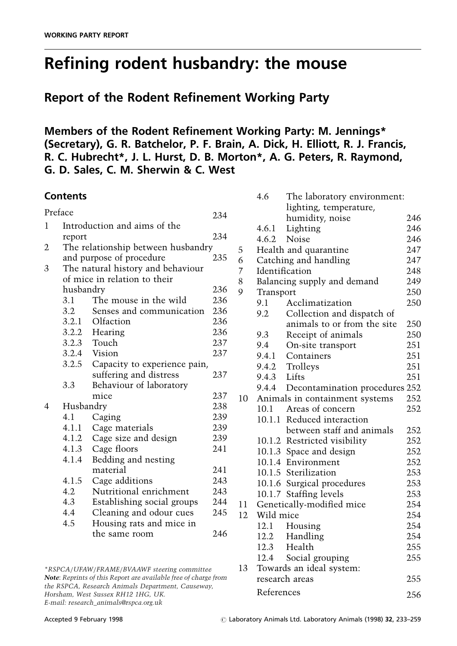# Refining rodent husbandry: the mouse

Report of the Rodent Refinement Working Party

Members of the Rodent Refinement Working Party: M. Jennings\* (Secretary), G. R. Batchelor, P. F. Brain, A. Dick, H. Elliott, R. J. Francis, R. C. Hubrecht\*, J. L. Hurst, D. B. Morton\*, A. G. Peters, R. Raymond, G. D. Sales, C. M. Sherwin & C. West

# **Contents**

| Preface |                                    |                                   | 234        |  |  |  |
|---------|------------------------------------|-----------------------------------|------------|--|--|--|
| 1       | Introduction and aims of the       |                                   |            |  |  |  |
|         | report                             |                                   | 234        |  |  |  |
| 2       | The relationship between husbandry |                                   |            |  |  |  |
|         | and purpose of procedure           |                                   |            |  |  |  |
| 3       |                                    | The natural history and behaviour |            |  |  |  |
|         | of mice in relation to their       |                                   |            |  |  |  |
|         | husbandry                          |                                   |            |  |  |  |
|         | 3.1                                | The mouse in the wild             | 236        |  |  |  |
|         | 3.2                                | Senses and communication          | 236        |  |  |  |
|         | 3.2.1                              | Olfaction                         | 236        |  |  |  |
|         |                                    | 3.2.2 Hearing                     | 236        |  |  |  |
|         |                                    | 3.2.3 Touch                       | 237        |  |  |  |
|         | 3.2.4                              | Vision                            | 237        |  |  |  |
|         | 3.2.5                              | Capacity to experience pain,      |            |  |  |  |
|         |                                    | suffering and distress            | 237        |  |  |  |
|         | 3.3                                | Behaviour of laboratory           |            |  |  |  |
|         |                                    | mice                              | 237<br>238 |  |  |  |
| 4       | Husbandry                          |                                   |            |  |  |  |
|         | 4.1                                | Caging                            | 239        |  |  |  |
|         | 4.1.1                              | Cage materials                    | 239        |  |  |  |
|         | 4.1.2                              | Cage size and design              | 239        |  |  |  |
|         | 4.1.3                              | Cage floors                       | 241        |  |  |  |
|         | 4.1.4                              | Bedding and nesting               |            |  |  |  |
|         |                                    | material                          | 241        |  |  |  |
|         | 4.1.5                              | Cage additions                    | 243        |  |  |  |
|         | 4.2                                | Nutritional enrichment            | 243        |  |  |  |
|         | 4.3                                | Establishing social groups        | 244        |  |  |  |
|         | 4.4                                | Cleaning and odour cues           | 245        |  |  |  |
|         | 4.5                                | Housing rats and mice in          |            |  |  |  |
|         |                                    | the same room                     | 246        |  |  |  |
|         |                                    |                                   |            |  |  |  |

\*RSPCA/UFAW/FRAME/BVAAWF steering committee Note: Reprints of this Report are available free of charge from the RSPCA, Research Animals Department, Causeway, Horsham, West Sussex RH12 1HG, UK. E-mail: research\_animals@rspca.org.uk

|      | 4.6            | The laboratory environment:          |     |  |  |
|------|----------------|--------------------------------------|-----|--|--|
|      |                | lighting, temperature,               |     |  |  |
|      |                | humidity, noise                      | 246 |  |  |
|      | 4.6.1          | Lighting                             | 246 |  |  |
|      | 4.6.2          | Noise                                | 246 |  |  |
| 5    |                | Health and quarantine                | 247 |  |  |
| 6    |                | Catching and handling                | 247 |  |  |
| 7    | Identification |                                      |     |  |  |
| 8    |                | Balancing supply and demand          |     |  |  |
| 9    |                | Transport                            |     |  |  |
|      | 9.1            | Acclimatization                      | 250 |  |  |
|      | 9.2            | Collection and dispatch of           |     |  |  |
|      |                | animals to or from the site          | 250 |  |  |
|      | 9.3            | Receipt of animals                   | 250 |  |  |
|      | 9.4            | On-site transport                    | 251 |  |  |
|      | 9.4.1          | Containers                           | 251 |  |  |
|      |                | 9.4.2 Trolleys                       | 251 |  |  |
|      | 9.4.3 Lifts    |                                      | 251 |  |  |
|      |                | 9.4.4 Decontamination procedures 252 |     |  |  |
| 10   |                | Animals in containment systems       | 252 |  |  |
|      |                | 10.1 Areas of concern                | 252 |  |  |
|      |                | 10.1.1 Reduced interaction           |     |  |  |
|      |                | between staff and animals            | 252 |  |  |
|      |                | 10.1.2 Restricted visibility         | 252 |  |  |
|      |                | 10.1.3 Space and design              | 252 |  |  |
|      |                | 10.1.4 Environment                   | 252 |  |  |
|      |                | 10.1.5 Sterilization                 | 253 |  |  |
|      |                | 10.1.6 Surgical procedures           | 253 |  |  |
|      |                | 10.1.7 Staffing levels               | 253 |  |  |
| 11 - |                | Genetically-modified mice            | 254 |  |  |
| 12   | Wild mice      |                                      | 254 |  |  |
|      | 12.1           | Housing                              | 254 |  |  |
|      | 12.2           | Handling                             | 254 |  |  |
|      | 12.3           | Health                               | 255 |  |  |
|      |                | 12.4 Social grouping                 | 255 |  |  |
| 13   |                | Towards an ideal system:             |     |  |  |
|      |                | research areas                       | 255 |  |  |
|      | References     |                                      |     |  |  |
|      |                |                                      |     |  |  |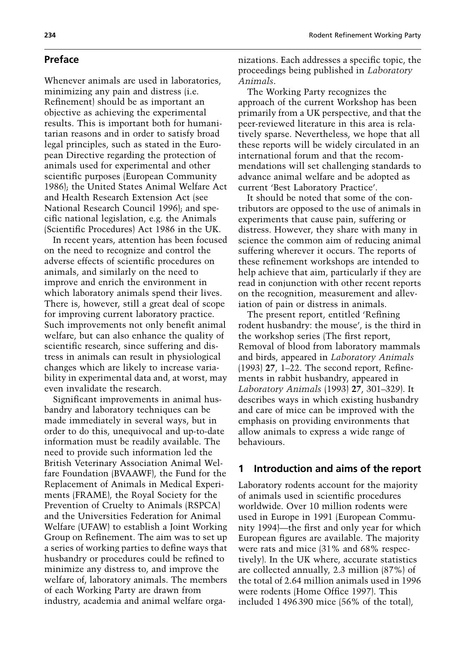# Preface

Whenever animals are used in laboratories, minimizing any pain and distress (i.e. Refinement) should be as important an objective as achieving the experimental results. This is important both for humanitarian reasons and in order to satisfy broad legal principles, such as stated in the European Directive regarding the protection of animals used for experimental and other scientific purposes (European Community 1986); the United States Animal Welfare Act and Health Research Extension Act (see National Research Council 1996); and specific national legislation, e.g. the Animals (Scientific Procedures) Act 1986 in the UK.

In recent years, attention has been focused on the need to recognize and control the adverse effects of scientific procedures on animals, and similarly on the need to improve and enrich the environment in which laboratory animals spend their lives. There is, however, still a great deal of scope for improving current laboratory practice. Such improvements not only benefit animal welfare, but can also enhance the quality of scientific research, since suffering and distress in animals can result in physiological changes which are likely to increase variability in experimental data and, at worst, may even invalidate the research.

Significant improvements in animal husbandry and laboratory techniques can be made immediately in several ways, but in order to do this, unequivocal and up-to-date information must be readily available. The need to provide such information led the British Veterinary Association Animal Welfare Foundation (BVAAWF), the Fund for the Replacement of Animals in Medical Experiments (FRAME), the Royal Society for the Prevention of Cruelty to Animals (RSPCA) and the Universities Federation for Animal Welfare (UFAW) to establish a Joint Working Group on Refinement. The aim was to set up a series of working parties to define ways that husbandry or procedures could be refined to minimize any distress to, and improve the welfare of, laboratory animals. The members of each Working Party are drawn from industry, academia and animal welfare organizations. Each addresses a specific topic, the proceedings being published in Laboratory Animals.

The Working Party recognizes the approach of the current Workshop has been primarily from a UK perspective, and that the peer-reviewed literature in this area is relatively sparse. Nevertheless, we hope that all these reports will be widely circulated in an international forum and that the recommendations will set challenging standards to advance animal welfare and be adopted as current 'Best Laboratory Practice'.

It should be noted that some of the contributors are opposed to the use of animals in experiments that cause pain, suffering or distress. However, they share with many in science the common aim of reducing animal suffering wherever it occurs. The reports of these refinement workshops are intended to help achieve that aim, particularly if they are read in conjunction with other recent reports on the recognition, measurement and alleviation of pain or distress in animals.

The present report, entitled 'Refining rodent husbandry: the mouse', is the third in the workshop series (The first report, Removal of blood from laboratory mammals and birds, appeared in Laboratory Animals  $(1993)$  27, 1–22. The second report, Refinements in rabbit husbandry, appeared in Laboratory Animals (1993) 27, 301-329). It describes ways in which existing husbandry and care of mice can be improved with the emphasis on providing environments that allow animals to express a wide range of behaviours.

# 1 Introduction and aims of the report

Laboratory rodents account for the majority of animals used in scientific procedures worldwide. Over 10 million rodents were used in Europe in 1991 (European Community 1994)—the first and only year for which European figures are available. The majority were rats and mice (31% and 68% respectively). In the UK where, accurate statistics are collected annually, 2.3 million (87%) of the total of 2.64 million animals used in 1996 were rodents (Home Office 1997). This included 1 496 390 mice (56% of the total),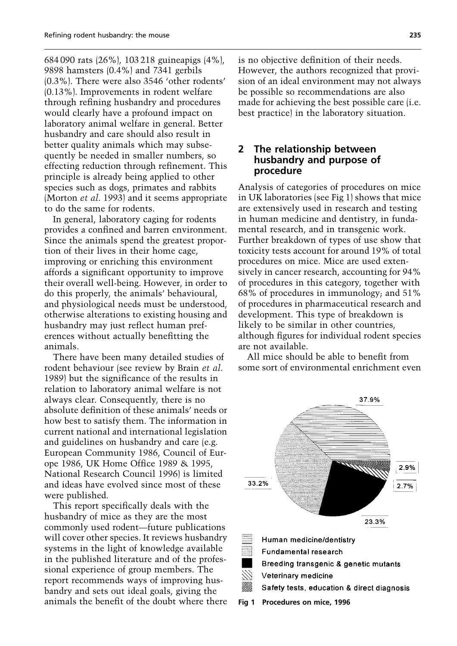684 090 rats (26%), 103 218 guineapigs (4%), 9898 hamsters (0.4%) and 7341 gerbils (0.3%). There were also 3546 `other rodents' (0.13%). Improvements in rodent welfare through refining husbandry and procedures would clearly have a profound impact on laboratory animal welfare in general. Better husbandry and care should also result in better quality animals which may subsequently be needed in smaller numbers, so effecting reduction through refinement. This principle is already being applied to other species such as dogs, primates and rabbits (Morton *et al.* 1993) and it seems appropriate to do the same for rodents.

In general, laboratory caging for rodents provides a confined and barren environment. Since the animals spend the greatest proportion of their lives in their home cage, improving or enriching this environment affords a significant opportunity to improve their overall well-being. However, in order to do this properly, the animals' behavioural, and physiological needs must be understood, otherwise alterations to existing housing and husbandry may just reflect human preferences without actually benefitting the animals.

There have been many detailed studies of rodent behaviour (see review by Brain et al. 1989) but the significance of the results in relation to laboratory animal welfare is not always clear. Consequently, there is no absolute definition of these animals' needs or how best to satisfy them. The information in current national and international legislation and guidelines on husbandry and care (e.g. European Community 1986, Council of Europe 1986, UK Home Office 1989 & 1995, National Research Council 1996) is limited and ideas have evolved since most of these were published.

This report specifically deals with the husbandry of mice as they are the most commonly used rodent—future publications will cover other species. It reviews husbandry systems in the light of knowledge available in the published literature and of the professional experience of group members. The report recommends ways of improving husbandry and sets out ideal goals, giving the animals the benefit of the doubt where there

is no objective definition of their needs. However, the authors recognized that provision of an ideal environment may not always be possible so recommendations are also made for achieving the best possible care (i.e. best practice) in the laboratory situation.

# 2 The relationship between husbandry and purpose of procedure

Analysis of categories of procedures on mice in UK laboratories (see Fig 1) shows that mice are extensively used in research and testing in human medicine and dentistry, in fundamental research, and in transgenic work. Further breakdown of types of use show that toxicity tests account for around 19% of total procedures on mice. Mice are used extensively in cancer research, accounting for 94% of procedures in this category, together with 68% of procedures in immunology; and 51% of procedures in pharmaceutical research and development. This type of breakdown is likely to be similar in other countries, although figures for individual rodent species are not available.

All mice should be able to benefit from some sort of environmental enrichment even

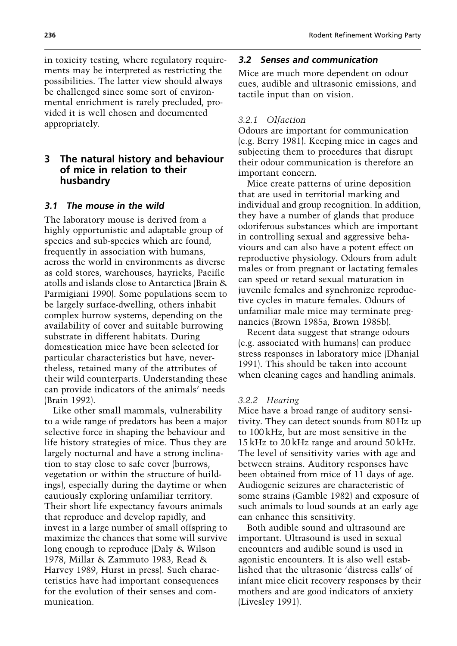in toxicity testing, where regulatory requirements may be interpreted as restricting the possibilities. The latter view should always be challenged since some sort of environmental enrichment is rarely precluded, provided it is well chosen and documented appropriately.

# 3 The natural history and behaviour of mice in relation to their husbandry

# 3.1 The mouse in the wild

The laboratory mouse is derived from a highly opportunistic and adaptable group of species and sub-species which are found, frequently in association with humans, across the world in environments as diverse as cold stores, warehouses, hayricks, Pacific atolls and islands close to Antarctica (Brain & Parmigiani 1990). Some populations seem to be largely surface-dwelling, others inhabit complex burrow systems, depending on the availability of cover and suitable burrowing substrate in different habitats. During domestication mice have been selected for particular characteristics but have, nevertheless, retained many of the attributes of their wild counterparts. Understanding these can provide indicators of the animals' needs (Brain 1992).

Like other small mammals, vulnerability to a wide range of predators has been a major selective force in shaping the behaviour and life history strategies of mice. Thus they are largely nocturnal and have a strong inclination to stay close to safe cover (burrows, vegetation or within the structure of buildings), especially during the daytime or when cautiously exploring unfamiliar territory. Their short life expectancy favours animals that reproduce and develop rapidly, and invest in a large number of small offspring to maximize the chances that some will survive long enough to reproduce (Daly & Wilson 1978, Millar & Zammuto 1983, Read & Harvey 1989, Hurst in press). Such characteristics have had important consequences for the evolution of their senses and communication.

#### 3.2 Senses and communication

Mice are much more dependent on odour cues, audible and ultrasonic emissions, and tactile input than on vision.

#### 3.2.1 Olfaction

Odours are important for communication (e.g. Berry 1981). Keeping mice in cages and subjecting them to procedures that disrupt their odour communication is therefore an important concern.

Mice create patterns of urine deposition that are used in territorial marking and individual and group recognition. In addition, they have a number of glands that produce odoriferous substances which are important in controlling sexual and aggressive behaviours and can also have a potent effect on reproductive physiology. Odours from adult males or from pregnant or lactating females can speed or retard sexual maturation in juvenile females and synchronize reproductive cycles in mature females. Odours of unfamiliar male mice may terminate pregnancies (Brown 1985a, Brown 1985b).

Recent data suggest that strange odours (e.g. associated with humans) can produce stress responses in laboratory mice (Dhanjal 1991). This should be taken into account when cleaning cages and handling animals.

#### 3.2.2 Hearing

Mice have a broad range of auditory sensitivity. They can detect sounds from 80 Hz up to 100 kHz, but are most sensitive in the 15 kHz to 20 kHz range and around 50 kHz. The level of sensitivity varies with age and between strains. Auditory responses have been obtained from mice of 11 days of age. Audiogenic seizures are characteristic of some strains (Gamble 1982) and exposure of such animals to loud sounds at an early age can enhance this sensitivity.

Both audible sound and ultrasound are important. Ultrasound is used in sexual encounters and audible sound is used in agonistic encounters. It is also well established that the ultrasonic 'distress calls' of infant mice elicit recovery responses by their mothers and are good indicators of anxiety (Livesley 1991).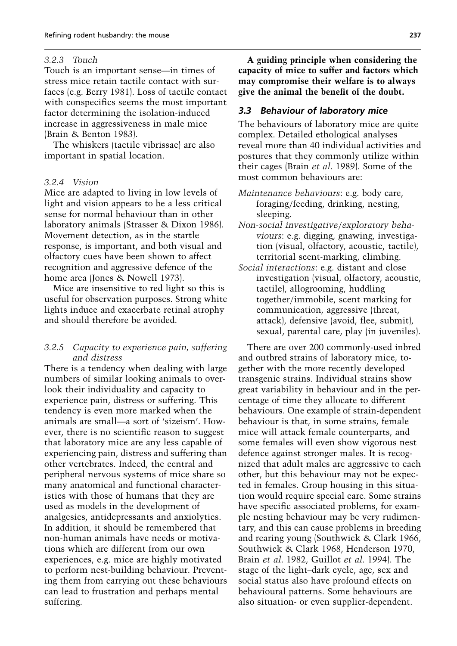#### 3.2.3 Touch

Touch is an important sense—in times of stress mice retain tactile contact with surfaces (e.g. Berry 1981). Loss of tactile contact with conspecifics seems the most important factor determining the isolation-induced increase in aggressiveness in male mice (Brain & Benton 1983).

The whiskers (tactile vibrissae) are also important in spatial location.

#### 3.2.4 Vision

Mice are adapted to living in low levels of light and vision appears to be a less critical sense for normal behaviour than in other laboratory animals (Strasser & Dixon 1986). Movement detection, as in the startle response, is important, and both visual and olfactory cues have been shown to affect recognition and aggressive defence of the home area (Jones & Nowell 1973).

Mice are insensitive to red light so this is useful for observation purposes. Strong white lights induce and exacerbate retinal atrophy and should therefore be avoided.

# 3.2.5 Capacity to experience pain, suffering and distress

There is a tendency when dealing with large numbers of similar looking animals to overlook their individuality and capacity to experience pain, distress or suffering. This tendency is even more marked when the animals are small—a sort of 'sizeism'. However, there is no scientific reason to suggest that laboratory mice are any less capable of experiencing pain, distress and suffering than other vertebrates. Indeed, the central and peripheral nervous systems of mice share so many anatomical and functional characteristics with those of humans that they are used as models in the development of analgesics, antidepressants and anxiolytics. In addition, it should be remembered that non-human animals have needs or motivations which are different from our own experiences, e.g. mice are highly motivated to perform nest-building behaviour. Preventing them from carrying out these behaviours can lead to frustration and perhaps mental suffering.

A guiding principle when considering the capacity of mice to suffer and factors which may compromise their welfare is to always give the animal the benefit of the doubt.

# 3.3 Behaviour of laboratory mice

The behaviours of laboratory mice are quite complex. Detailed ethological analyses reveal more than 40 individual activities and postures that they commonly utilize within their cages (Brain et al. 1989). Some of the most common behaviours are:

Maintenance behaviours: e.g. body care, foraging/feeding, drinking, nesting, sleeping.

Non-social investigative/exploratory behaviours: e.g. digging, gnawing, investigation (visual, olfactory, acoustic, tactile), territorial scent-marking, climbing.

Social interactions: e.g. distant and close investigation (visual, olfactory, acoustic, tactile), allogrooming, huddling together/immobile, scent marking for communication, aggressive (threat, attack), defensive (avoid, flee, submit), sexual, parental care, play (in juveniles).

There are over 200 commonly-used inbred and outbred strains of laboratory mice, together with the more recently developed transgenic strains. Individual strains show great variability in behaviour and in the percentage of time they allocate to different behaviours. One example of strain-dependent behaviour is that, in some strains, female mice will attack female counterparts, and some females will even show vigorous nest defence against stronger males. It is recognized that adult males are aggressive to each other, but this behaviour may not be expected in females. Group housing in this situation would require special care. Some strains have specific associated problems, for example nesting behaviour may be very rudimentary, and this can cause problems in breeding and rearing young (Southwick & Clark 1966, Southwick & Clark 1968, Henderson 1970, Brain et al. 1982, Guillot et al. 1994). The stage of the light-dark cycle, age, sex and social status also have profound effects on behavioural patterns. Some behaviours are also situation- or even supplier-dependent.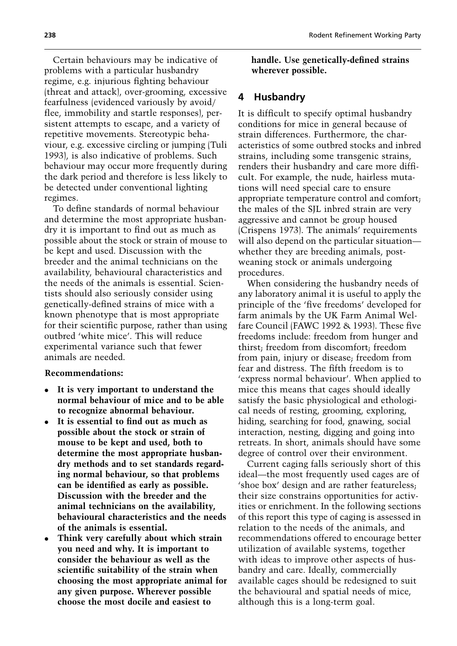Certain behaviours may be indicative of problems with a particular husbandry regime, e.g. injurious fighting behaviour (threat and attack), over-grooming, excessive fearfulness (evidenced variously by avoid/ flee, immobility and startle responses), persistent attempts to escape, and a variety of repetitive movements. Stereotypic behaviour, e.g. excessive circling or jumping (Tuli 1993), is also indicative of problems. Such behaviour may occur more frequently during the dark period and therefore is less likely to be detected under conventional lighting regimes.

To define standards of normal behaviour and determine the most appropriate husbandry it is important to find out as much as possible about the stock or strain of mouse to be kept and used. Discussion with the breeder and the animal technicians on the availability, behavioural characteristics and the needs of the animals is essential. Scientists should also seriously consider using genetically-defined strains of mice with a known phenotype that is most appropriate for their scientific purpose, rather than using outbred `white mice'. This will reduce experimental variance such that fewer animals are needed.

#### Recommendations:

- It is very important to understand the normal behaviour of mice and to be able to recognize abnormal behaviour.
- It is essential to find out as much as possible about the stock or strain of mouse to be kept and used, both to determine the most appropriate husbandry methods and to set standards regarding normal behaviour, so that problems can be identified as early as possible. Discussion with the breeder and the animal technicians on the availability, behavioural characteristics and the needs of the animals is essential.
- Think very carefully about which strain you need and why. It is important to consider the behaviour as well as the scientific suitability of the strain when choosing the most appropriate animal for any given purpose. Wherever possible choose the most docile and easiest to

handle. Use genetically-defined strains wherever possible.

# 4 Husbandry

It is difficult to specify optimal husbandry conditions for mice in general because of strain differences. Furthermore, the characteristics of some outbred stocks and inbred strains, including some transgenic strains, renders their husbandry and care more difficult. For example, the nude, hairless mutations will need special care to ensure appropriate temperature control and comfort; the males of the SJL inbred strain are very aggressive and cannot be group housed (Crispens 1973). The animals' requirements will also depend on the particular situation whether they are breeding animals, postweaning stock or animals undergoing procedures.

When considering the husbandry needs of any laboratory animal it is useful to apply the principle of the 'five freedoms' developed for farm animals by the UK Farm Animal Welfare Council (FAWC 1992  $\&$  1993). These five freedoms include: freedom from hunger and thirst; freedom from discomfort; freedom from pain, injury or disease; freedom from fear and distress. The fifth freedom is to `express normal behaviour'. When applied to mice this means that cages should ideally satisfy the basic physiological and ethological needs of resting, grooming, exploring, hiding, searching for food, gnawing, social interaction, nesting, digging and going into retreats. In short, animals should have some degree of control over their environment.

Current caging falls seriously short of this ideal—the most frequently used cages are of 'shoe box' design and are rather featureless; their size constrains opportunities for activities or enrichment. In the following sections of this report this type of caging is assessed in relation to the needs of the animals, and recommendations offered to encourage better utilization of available systems, together with ideas to improve other aspects of husbandry and care. Ideally, commercially available cages should be redesigned to suit the behavioural and spatial needs of mice, although this is a long-term goal.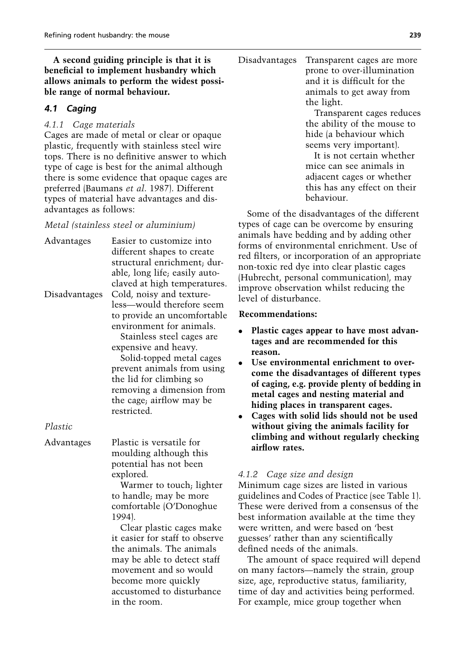A second guiding principle is that it is beneficial to implement husbandry which allows animals to perform the widest possible range of normal behaviour.

# 4.1 Caging

#### 4.1.1 Cage materials

Cages are made of metal or clear or opaque plastic, frequently with stainless steel wire tops. There is no definitive answer to which type of cage is best for the animal although there is some evidence that opaque cages are preferred (Baumans et al. 1987). Different types of material have advantages and disadvantages as follows:

# Metal (stainless steel or aluminium)

Advantages Easier to customize into different shapes to create structural enrichment; durable, long life; easily autoclaved at high temperatures. Disadvantages Cold, noisy and textureless-would therefore seem to provide an uncomfortable environment for animals. Stainless steel cages are expensive and heavy.

Solid-topped metal cages prevent animals from using the lid for climbing so removing a dimension from the cage; airflow may be restricted.

Plastic

Advantages Plastic is versatile for moulding although this potential has not been explored.

> Warmer to touch; lighter to handle; may be more comfortable (O'Donoghue 1994).

> Clear plastic cages make it easier for staff to observe the animals. The animals may be able to detect staff movement and so would become more quickly accustomed to disturbance in the room.

| Disadvantages Transparent cages are more |
|------------------------------------------|
| prone to over-illumination               |
| and it is difficult for the              |
| animals to get away from                 |
| the light.                               |
| Transportant aggress reduce              |

Transparent cages reduces the ability of the mouse to hide (a behaviour which seems very important).

It is not certain whether mice can see animals in adjacent cages or whether this has any effect on their behaviour.

Some of the disadvantages of the different types of cage can be overcome by ensuring animals have bedding and by adding other forms of environmental enrichment. Use of red filters, or incorporation of an appropriate non-toxic red dye into clear plastic cages (Hubrecht, personal communication), may improve observation whilst reducing the level of disturbance.

# Recommendations:

- Plastic cages appear to have most advantages and are recommended for this reason.
- Use environmental enrichment to overcome the disadvantages of different types of caging, e.g. provide plenty of bedding in metal cages and nesting material and hiding places in transparent cages.
- Cages with solid lids should not be used without giving the animals facility for climbing and without regularly checking airflow rates.

# 4.1.2 Cage size and design

Minimum cage sizes are listed in various guidelines and Codes of Practice (see Table 1). These were derived from a consensus of the best information available at the time they were written, and were based on 'best guesses' rather than any scientifically defined needs of the animals.

The amount of space required will depend on many factors—namely the strain, group size, age, reproductive status, familiarity, time of day and activities being performed. For example, mice group together when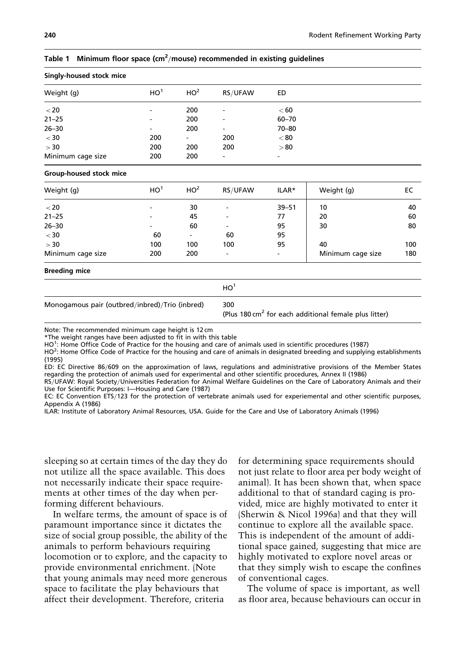| Singly-housed stock mice |                 |                          |                              |           |                   |     |  |  |  |
|--------------------------|-----------------|--------------------------|------------------------------|-----------|-------------------|-----|--|--|--|
| Weight (g)               | HO <sup>1</sup> | HO <sup>2</sup>          | RS/UFAW                      | ED        |                   |     |  |  |  |
| < 20                     | -               | 200                      |                              | $<$ 60    |                   |     |  |  |  |
| $21 - 25$                |                 | 200                      |                              | $60 - 70$ |                   |     |  |  |  |
| $26 - 30$                |                 | 200                      |                              | $70 - 80$ |                   |     |  |  |  |
| $<$ 30                   | 200             | -                        | 200                          | < 80      |                   |     |  |  |  |
| > 30                     | 200             | 200                      | 200                          | > 80      |                   |     |  |  |  |
| Minimum cage size        | 200             | 200                      | ٠                            | -         |                   |     |  |  |  |
| Group-housed stock mice  |                 |                          |                              |           |                   |     |  |  |  |
| Weight (g)               | HO <sup>1</sup> | HO <sup>2</sup>          | RS/UFAW                      | ILAR*     | Weight (g)        | EС  |  |  |  |
| < 20                     | -               | 30                       | $\overline{\phantom{a}}$     | $39 - 51$ | 10                | 40  |  |  |  |
| $21 - 25$                |                 | 45                       | $\qquad \qquad \blacksquare$ | 77        | 20                | 60  |  |  |  |
| $26 - 30$                |                 | 60                       |                              | 95        | 30                | 80  |  |  |  |
| $30$                     | 60              | $\overline{\phantom{a}}$ | 60                           | 95        |                   |     |  |  |  |
| > 30                     | 100             | 100                      | 100                          | 95        | 40                | 100 |  |  |  |
| Minimum cage size        | 200             | 200                      | -                            | ۰         | Minimum cage size | 180 |  |  |  |
| <b>Breeding mice</b>     |                 |                          |                              |           |                   |     |  |  |  |

# Table 1 Minimum floor space (cm<sup>2</sup>/mouse) recommended in existing guidelines

Monogamous pair (outbred/inbred)/Trio (inbred) 300

(Plus 180 cm<sup>2</sup> for each additional female plus litter)

Note: The recommended minimum cage height is 12 cm

\*The weight ranges have been adjusted to fit in with this table

HO<sup>1</sup>: Home Office Code of Practice for the housing and care of animals used in scientific procedures (1987)<br>HO<sup>2</sup>: Home Office Code of Practice for the housing and care of animals in designated breeding and supplying esta (1995)

 $HO<sup>1</sup>$ 

ED: EC Directive 86/609 on the approximation of laws, regulations and administrative provisions of the Member States regarding the protection of animals used for experimental and other scientific procedures, Annex II (1986)

RS/UFAW: Royal Society/Universities Federation for Animal Welfare Guidelines on the Care of Laboratory Animals and their Use for Scientific Purposes: I-Housing and Care (1987)

EC: EC Convention ETS/123 for the protection of vertebrate animals used for experiemental and other scientific purposes, Appendix A (1986)

ILAR: Institute of Laboratory Animal Resources, USA. Guide for the Care and Use of Laboratory Animals (1996)

sleeping so at certain times of the day they do not utilize all the space available. This does not necessarily indicate their space requirements at other times of the day when performing different behaviours.

In welfare terms, the amount of space is of paramount importance since it dictates the size of social group possible, the ability of the animals to perform behaviours requiring locomotion or to explore, and the capacity to provide environmental enrichment. (Note that young animals may need more generous space to facilitate the play behaviours that affect their development. Therefore, criteria

for determining space requirements should not just relate to floor area per body weight of animal). It has been shown that, when space additional to that of standard caging is provided, mice are highly motivated to enter it (Sherwin & Nicol 1996a) and that they will continue to explore all the available space. This is independent of the amount of additional space gained, suggesting that mice are highly motivated to explore novel areas or that they simply wish to escape the confines of conventional cages.

The volume of space is important, as well as floor area, because behaviours can occur in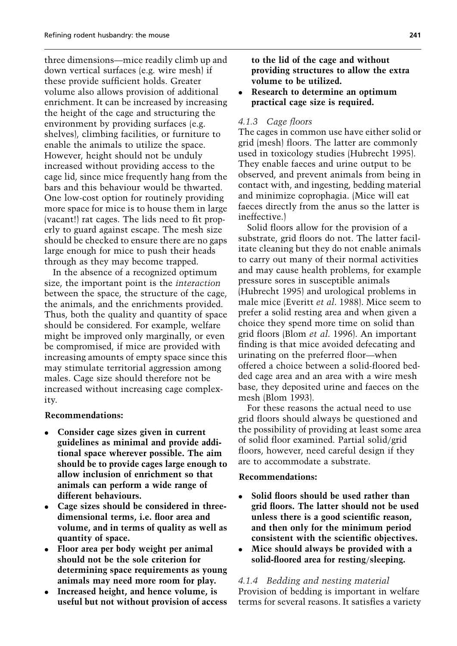three dimensions—mice readily climb up and down vertical surfaces (e.g. wire mesh) if these provide sufficient holds. Greater volume also allows provision of additional enrichment. It can be increased by increasing the height of the cage and structuring the environment by providing surfaces (e.g. shelves), climbing facilities, or furniture to enable the animals to utilize the space. However, height should not be unduly increased without providing access to the cage lid, since mice frequently hang from the bars and this behaviour would be thwarted. One low-cost option for routinely providing more space for mice is to house them in large (vacant!) rat cages. The lids need to fit properly to guard against escape. The mesh size should be checked to ensure there are no gaps large enough for mice to push their heads through as they may become trapped.

In the absence of a recognized optimum size, the important point is the interaction between the space, the structure of the cage, the animals, and the enrichments provided. Thus, both the quality and quantity of space should be considered. For example, welfare might be improved only marginally, or even be compromised, if mice are provided with increasing amounts of empty space since this may stimulate territorial aggression among males. Cage size should therefore not be increased without increasing cage complexity.

# Recommendations:

- Consider cage sizes given in current guidelines as minimal and provide additional space wherever possible. The aim should be to provide cages large enough to allow inclusion of enrichment so that animals can perform a wide range of different behaviours.
- Cage sizes should be considered in threedimensional terms, i.e. floor area and volume, and in terms of quality as well as quantity of space.
- Floor area per body weight per animal should not be the sole criterion for determining space requirements as young animals may need more room for play.
- Increased height, and hence volume, is useful but not without provision of access

to the lid of the cage and without providing structures to allow the extra volume to be utilized.

 Research to determine an optimum practical cage size is required.

# 4.1.3 Cage floors

The cages in common use have either solid or grid (mesh) floors. The latter are commonly used in toxicology studies (Hubrecht 1995). They enable faeces and urine output to be observed, and prevent animals from being in contact with, and ingesting, bedding material and minimize coprophagia. (Mice will eat faeces directly from the anus so the latter is ineffective.)

Solid floors allow for the provision of a substrate, grid floors do not. The latter facilitate cleaning but they do not enable animals to carry out many of their normal activities and may cause health problems, for example pressure sores in susceptible animals (Hubrecht 1995) and urological problems in male mice (Everitt et al. 1988). Mice seem to prefer a solid resting area and when given a choice they spend more time on solid than grid floors (Blom  $et$  al. 1996). An important finding is that mice avoided defecating and urinating on the preferred floor—when offered a choice between a solid-floored bedded cage area and an area with a wire mesh base, they deposited urine and faeces on the mesh (Blom 1993).

For these reasons the actual need to use grid floors should always be questioned and the possibility of providing at least some area of solid floor examined. Partial solid/grid floors, however, need careful design if they are to accommodate a substrate.

# Recommendations:

- Solid floors should be used rather than grid floors. The latter should not be used unless there is a good scientific reason, and then only for the minimum period consistent with the scientific objectives.
- Mice should always be provided with a solid-floored area for resting/sleeping.

# 4.1.4 Bedding and nesting material Provision of bedding is important in welfare terms for several reasons. It satisfies a variety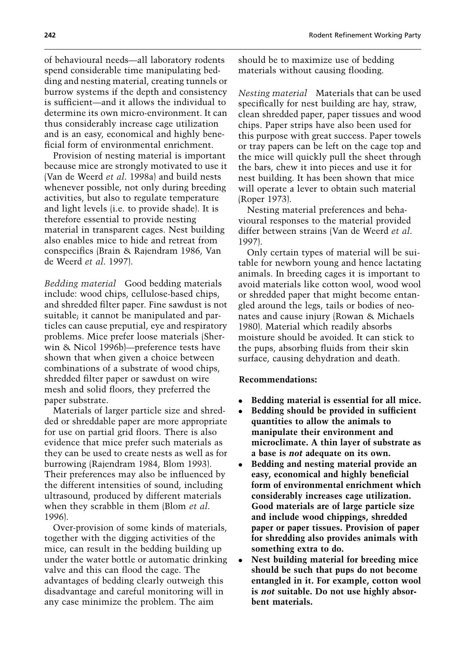of behavioural needs-all laboratory rodents spend considerable time manipulating bedding and nesting material, creating tunnels or burrow systems if the depth and consistency is sufficient—and it allows the individual to determine its own micro-environment. It can thus considerably increase cage utilization and is an easy, economical and highly bene ficial form of environmental enrichment.

Provision of nesting material is important because mice are strongly motivated to use it (Van de Weerd et al. 1998a) and build nests whenever possible, not only during breeding activities, but also to regulate temperature and light levels (i.e. to provide shade). It is therefore essential to provide nesting material in transparent cages. Nest building also enables mice to hide and retreat from conspecifics (Brain & Rajendram 1986, Van de Weerd et al. 1997).

Bedding material Good bedding materials include: wood chips, cellulose-based chips, and shredded filter paper. Fine sawdust is not suitable; it cannot be manipulated and particles can cause preputial, eye and respiratory problems. Mice prefer loose materials (Sherwin & Nicol 1996b)-preference tests have shown that when given a choice between combinations of a substrate of wood chips, shredded filter paper or sawdust on wire mesh and solid floors, they preferred the paper substrate.

Materials of larger particle size and shredded or shreddable paper are more appropriate for use on partial grid floors. There is also evidence that mice prefer such materials as they can be used to create nests as well as for burrowing (Rajendram 1984, Blom 1993). Their preferences may also be influenced by the different intensities of sound, including ultrasound, produced by different materials when they scrabble in them (Blom et al. 1996).

Over-provision of some kinds of materials, together with the digging activities of the mice, can result in the bedding building up under the water bottle or automatic drinking valve and this can flood the cage. The advantages of bedding clearly outweigh this disadvantage and careful monitoring will in any case minimize the problem. The aim

should be to maximize use of bedding materials without causing flooding.

Nesting material Materials that can be used specifically for nest building are hay, straw, clean shredded paper, paper tissues and wood chips. Paper strips have also been used for this purpose with great success. Paper towels or tray papers can be left on the cage top and the mice will quickly pull the sheet through the bars, chew it into pieces and use it for nest building. It has been shown that mice will operate a lever to obtain such material (Roper 1973).

Nesting material preferences and behavioural responses to the material provided differ between strains (Van de Weerd et al. 1997).

Only certain types of material will be suitable for newborn young and hence lactating animals. In breeding cages it is important to avoid materials like cotton wool, wood wool or shredded paper that might become entangled around the legs, tails or bodies of neonates and cause injury (Rowan & Michaels 1980). Material which readily absorbs moisture should be avoided. It can stick to the pups, absorbing fluids from their skin surface, causing dehydration and death.

# Recommendations:

- Bedding material is essential for all mice.
- Bedding should be provided in sufficient quantities to allow the animals to manipulate their environment and microclimate. A thin layer of substrate as a base is not adequate on its own.
- Bedding and nesting material provide an easy, economical and highly beneficial form of environmental enrichment which considerably increases cage utilization. Good materials are of large particle size and include wood chippings, shredded paper or paper tissues. Provision of paper for shredding also provides animals with something extra to do.
- Nest building material for breeding mice should be such that pups do not become entangled in it. For example, cotton wool is not suitable. Do not use highly absorbent materials.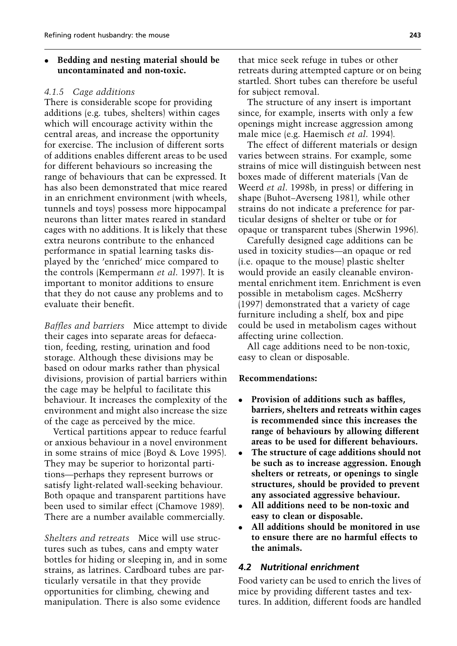# Bedding and nesting material should be uncontaminated and non-toxic.

#### 4.1.5 Cage additions

There is considerable scope for providing additions (e.g. tubes, shelters) within cages which will encourage activity within the central areas, and increase the opportunity for exercise. The inclusion of different sorts of additions enables different areas to be used for different behaviours so increasing the range of behaviours that can be expressed. It has also been demonstrated that mice reared in an enrichment environment (with wheels, tunnels and toys) possess more hippocampal neurons than litter mates reared in standard cages with no additions. It is likely that these extra neurons contribute to the enhanced performance in spatial learning tasks displayed by the 'enriched' mice compared to the controls (Kempermann et al. 1997). It is important to monitor additions to ensure that they do not cause any problems and to evaluate their benefit

Baffles and barriers Mice attempt to divide their cages into separate areas for defaecation, feeding, resting, urination and food storage. Although these divisions may be based on odour marks rather than physical divisions, provision of partial barriers within the cage may be helpful to facilitate this behaviour. It increases the complexity of the environment and might also increase the size of the cage as perceived by the mice.

Vertical partitions appear to reduce fearful or anxious behaviour in a novel environment in some strains of mice (Boyd & Love 1995). They may be superior to horizontal partitions—perhaps they represent burrows or satisfy light-related wall-seeking behaviour. Both opaque and transparent partitions have been used to similar effect (Chamove 1989). There are a number available commercially.

Shelters and retreats Mice will use structures such as tubes, cans and empty water bottles for hiding or sleeping in, and in some strains, as latrines. Cardboard tubes are particularly versatile in that they provide opportunities for climbing, chewing and manipulation. There is also some evidence

that mice seek refuge in tubes or other retreats during attempted capture or on being startled. Short tubes can therefore be useful for subject removal.

The structure of any insert is important since, for example, inserts with only a few openings might increase aggression among male mice (e.g. Haemisch et al. 1994).

The effect of different materials or design varies between strains. For example, some strains of mice will distinguish between nest boxes made of different materials (Van de Weerd et al. 1998b, in press) or differing in shape (Buhot-Averseng 1981), while other strains do not indicate a preference for particular designs of shelter or tube or for opaque or transparent tubes (Sherwin 1996).

Carefully designed cage additions can be used in toxicity studies—an opaque or red (i.e. opaque to the mouse) plastic shelter would provide an easily cleanable environmental enrichment item. Enrichment is even possible in metabolism cages. McSherry (1997) demonstrated that a variety of cage furniture including a shelf, box and pipe could be used in metabolism cages without affecting urine collection.

All cage additions need to be non-toxic, easy to clean or disposable.

#### Recommendations:

- $\bullet$  Provision of additions such as baffles, barriers, shelters and retreats within cages is recommended since this increases the range of behaviours by allowing different areas to be used for different behaviours.
- The structure of cage additions should not be such as to increase aggression. Enough shelters or retreats, or openings to single structures, should be provided to prevent any associated aggressive behaviour.
- All additions need to be non-toxic and easy to clean or disposable.
- All additions should be monitored in use to ensure there are no harmful effects to the animals.

#### 4.2 Nutritional enrichment

Food variety can be used to enrich the lives of mice by providing different tastes and textures. In addition, different foods are handled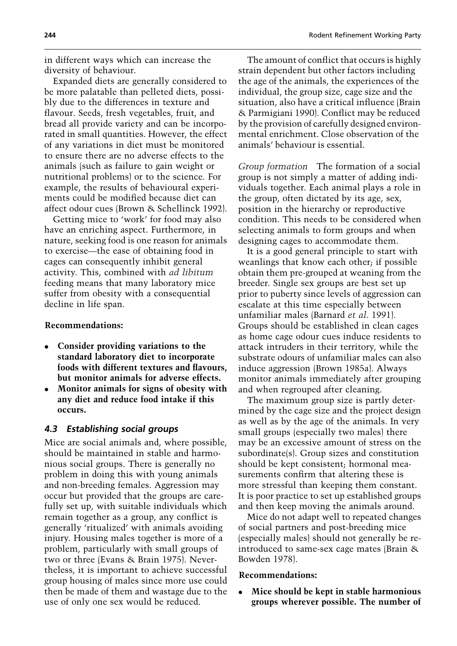in different ways which can increase the diversity of behaviour.

Expanded diets are generally considered to be more palatable than pelleted diets, possibly due to the differences in texture and flavour. Seeds, fresh vegetables, fruit, and bread all provide variety and can be incorporated in small quantities. However, the effect of any variations in diet must be monitored to ensure there are no adverse effects to the animals (such as failure to gain weight or nutritional problems) or to the science. For example, the results of behavioural experiments could be modified because diet can affect odour cues (Brown & Schellinck 1992).

Getting mice to 'work' for food may also have an enriching aspect. Furthermore, in nature, seeking food is one reason for animals to exercise—the ease of obtaining food in cages can consequently inhibit general activity. This, combined with ad libitum feeding means that many laboratory mice suffer from obesity with a consequential decline in life span.

# Recommendations:

- Consider providing variations to the standard laboratory diet to incorporate foods with different textures and flavours. but monitor animals for adverse effects.
- Monitor animals for signs of obesity with any diet and reduce food intake if this occurs.

# 4.3 Establishing social groups

Mice are social animals and, where possible, should be maintained in stable and harmonious social groups. There is generally no problem in doing this with young animals and non-breeding females. Aggression may occur but provided that the groups are carefully set up, with suitable individuals which remain together as a group, any conflict is generally `ritualized' with animals avoiding injury. Housing males together is more of a problem, particularly with small groups of two or three (Evans & Brain 1975). Nevertheless, it is important to achieve successful group housing of males since more use could then be made of them and wastage due to the use of only one sex would be reduced.

The amount of conflict that occurs is highly strain dependent but other factors including the age of the animals, the experiences of the individual, the group size, cage size and the situation, also have a critical influence (Brain & Parmigiani 1990). Conflict may be reduced by the provision of carefully designed environmental enrichment. Close observation of the animals' behaviour is essential.

Group formation The formation of a social group is not simply a matter of adding individuals together. Each animal plays a role in the group, often dictated by its age, sex, position in the hierarchy or reproductive condition. This needs to be considered when selecting animals to form groups and when designing cages to accommodate them.

It is a good general principle to start with weanlings that know each other; if possible obtain them pre-grouped at weaning from the breeder. Single sex groups are best set up prior to puberty since levels of aggression can escalate at this time especially between unfamiliar males (Barnard et al. 1991). Groups should be established in clean cages as home cage odour cues induce residents to attack intruders in their territory, while the substrate odours of unfamiliar males can also induce aggression (Brown 1985a). Always monitor animals immediately after grouping and when regrouped after cleaning.

The maximum group size is partly determined by the cage size and the project design as well as by the age of the animals. In very small groups (especially two males) there may be an excessive amount of stress on the subordinate(s). Group sizes and constitution should be kept consistent; hormonal measurements confirm that altering these is more stressful than keeping them constant. It is poor practice to set up established groups and then keep moving the animals around.

Mice do not adapt well to repeated changes of social partners and post-breeding mice (especially males) should not generally be reintroduced to same-sex cage mates (Brain & Bowden 1978).

# Recommendations:

 Mice should be kept in stable harmonious groups wherever possible. The number of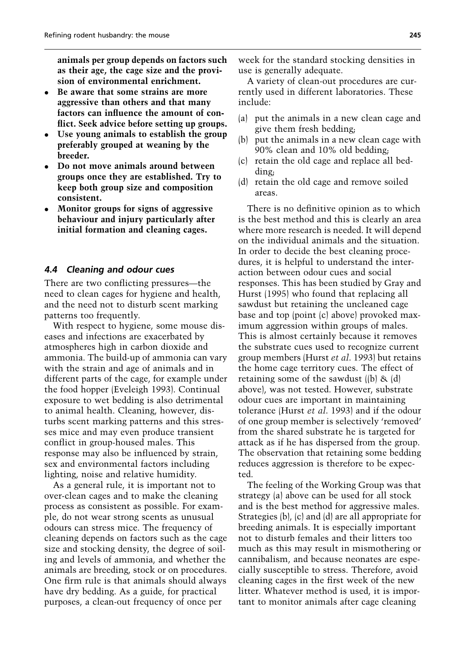animals per group depends on factors such as their age, the cage size and the provision of environmental enrichment.

- Be aware that some strains are more aggressive than others and that many factors can influence the amount of conflict. Seek advice before setting up groups.
- Use young animals to establish the group preferably grouped at weaning by the breeder.
- Do not move animals around between groups once they are established. Try to keep both group size and composition consistent.
- Monitor groups for signs of aggressive behaviour and injury particularly after initial formation and cleaning cages.

# 4.4 Cleaning and odour cues

There are two conflicting pressures—the need to clean cages for hygiene and health, and the need not to disturb scent marking patterns too frequently.

With respect to hygiene, some mouse diseases and infections are exacerbated by atmospheres high in carbon dioxide and ammonia. The build-up of ammonia can vary with the strain and age of animals and in different parts of the cage, for example under the food hopper (Eveleigh 1993). Continual exposure to wet bedding is also detrimental to animal health. Cleaning, however, disturbs scent marking patterns and this stresses mice and may even produce transient conflict in group-housed males. This response may also be influenced by strain, sex and environmental factors including lighting, noise and relative humidity.

As a general rule, it is important not to over-clean cages and to make the cleaning process as consistent as possible. For example, do not wear strong scents as unusual odours can stress mice. The frequency of cleaning depends on factors such as the cage size and stocking density, the degree of soiling and levels of ammonia, and whether the animals are breeding, stock or on procedures. One firm rule is that animals should always have dry bedding. As a guide, for practical purposes, a clean-out frequency of once per

week for the standard stocking densities in use is generally adequate.

A variety of clean-out procedures are currently used in different laboratories. These include:

- (a) put the animals in a new clean cage and give them fresh bedding;
- (b) put the animals in a new clean cage with 90% clean and 10% old bedding;
- (c) retain the old cage and replace all bedding;
- (d) retain the old cage and remove soiled areas.

There is no definitive opinion as to which is the best method and this is clearly an area where more research is needed. It will depend on the individual animals and the situation. In order to decide the best cleaning procedures, it is helpful to understand the interaction between odour cues and social responses. This has been studied by Gray and Hurst (1995) who found that replacing all sawdust but retaining the uncleaned cage base and top (point (c) above) provoked maximum aggression within groups of males. This is almost certainly because it removes the substrate cues used to recognize current group members (Hurst et al. 1993) but retains the home cage territory cues. The effect of retaining some of the sawdust ((b) & (d) above), was not tested. However, substrate odour cues are important in maintaining tolerance (Hurst et al. 1993) and if the odour of one group member is selectively 'removed' from the shared substrate he is targeted for attack as if he has dispersed from the group. The observation that retaining some bedding reduces aggression is therefore to be expected.

The feeling of the Working Group was that strategy (a) above can be used for all stock and is the best method for aggressive males. Strategies (b), (c) and (d) are all appropriate for breeding animals. It is especially important not to disturb females and their litters too much as this may result in mismothering or cannibalism, and because neonates are especially susceptible to stress. Therefore, avoid cleaning cages in the first week of the new litter. Whatever method is used, it is important to monitor animals after cage cleaning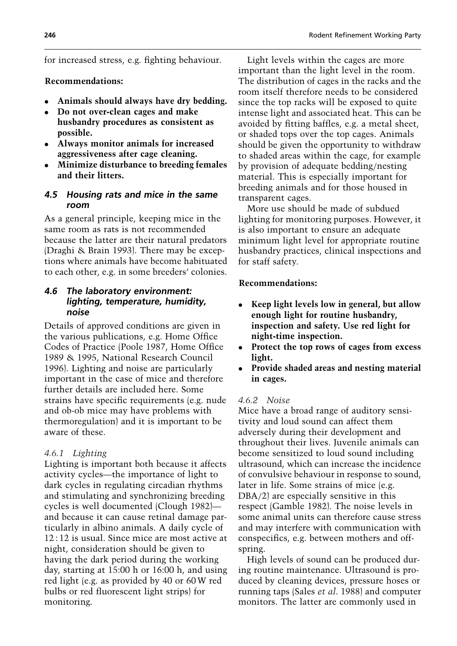for increased stress, e.g. fighting behaviour.

# Recommendations:

- Animals should always have dry bedding.
- Do not over-clean cages and make husbandry procedures as consistent as possible.
- Always monitor animals for increased aggressiveness after cage cleaning.
- Minimize disturbance to breeding females and their litters.

# 4.5 Housing rats and mice in the same room

As a general principle, keeping mice in the same room as rats is not recommended because the latter are their natural predators (Draghi & Brain 1993). There may be exceptions where animals have become habituated to each other, e.g. in some breeders' colonies.

# 4.6 The laboratory environment: lighting, temperature, humidity, noise

Details of approved conditions are given in the various publications, e.g. Home Office Codes of Practice (Poole 1987, Home Office 1989 & 1995, National Research Council 1996). Lighting and noise are particularly important in the case of mice and therefore further details are included here. Some strains have specific requirements (e.g. nude and ob-ob mice may have problems with thermoregulation) and it is important to be aware of these.

# 4.6.1 Lighting

Lighting is important both because it affects activity cycles—the importance of light to dark cycles in regulating circadian rhythms and stimulating and synchronizing breeding cycles is well documented (Clough 1982) $$ and because it can cause retinal damage particularly in albino animals. A daily cycle of 12 : 12 is usual. Since mice are most active at night, consideration should be given to having the dark period during the working day, starting at 15:00 h or 16:00 h, and using red light (e.g. as provided by 40 or 60W red bulbs or red fluorescent light strips) for monitoring.

Light levels within the cages are more important than the light level in the room. The distribution of cages in the racks and the room itself therefore needs to be considered since the top racks will be exposed to quite intense light and associated heat. This can be avoided by fitting baffles, e.g. a metal sheet, or shaded tops over the top cages. Animals should be given the opportunity to withdraw to shaded areas within the cage, for example by provision of adequate bedding/nesting material. This is especially important for breeding animals and for those housed in transparent cages.

More use should be made of subdued lighting for monitoring purposes. However, it is also important to ensure an adequate minimum light level for appropriate routine husbandry practices, clinical inspections and for staff safety.

# Recommendations:

- Keep light levels low in general, but allow enough light for routine husbandry, inspection and safety. Use red light for night-time inspection.
- Protect the top rows of cages from excess light.
- Provide shaded areas and nesting material in cages.

#### 4.6.2 Noise

Mice have a broad range of auditory sensitivity and loud sound can affect them adversely during their development and throughout their lives. Juvenile animals can become sensitized to loud sound including ultrasound, which can increase the incidence of convulsive behaviour in response to sound, later in life. Some strains of mice (e.g.  $DBA/2$  are especially sensitive in this respect (Gamble 1982). The noise levels in some animal units can therefore cause stress and may interfere with communication with conspecifics, e.g. between mothers and offspring.

High levels of sound can be produced during routine maintenance. Ultrasound is produced by cleaning devices, pressure hoses or running taps (Sales et al. 1988) and computer monitors. The latter are commonly used in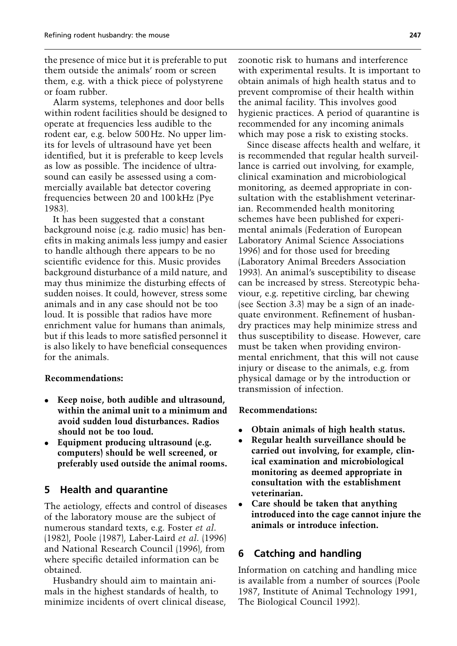the presence of mice but it is preferable to put them outside the animals' room or screen them, e.g. with a thick piece of polystyrene or foam rubber.

Alarm systems, telephones and door bells within rodent facilities should be designed to operate at frequencies less audible to the rodent ear, e.g. below 500 Hz. No upper limits for levels of ultrasound have yet been identified, but it is preferable to keep levels as low as possible. The incidence of ultrasound can easily be assessed using a commercially available bat detector covering frequencies between 20 and 100 kHz (Pye 1983).

It has been suggested that a constant background noise (e.g. radio music) has benefits in making animals less jumpy and easier to handle although there appears to be no scientific evidence for this. Music provides background disturbance of a mild nature, and may thus minimize the disturbing effects of sudden noises. It could, however, stress some animals and in any case should not be too loud. It is possible that radios have more enrichment value for humans than animals, but if this leads to more satisfied personnel it is also likely to have beneficial consequences for the animals.

#### Recommendations:

- Keep noise, both audible and ultrasound, within the animal unit to a minimum and avoid sudden loud disturbances. Radios should not be too loud.
- Equipment producing ultrasound (e.g. computers) should be well screened, or preferably used outside the animal rooms.

# 5 Health and quarantine

The aetiology, effects and control of diseases of the laboratory mouse are the subject of numerous standard texts, e.g. Foster et al. (1982), Poole (1987), Laber-Laird et al. (1996) and National Research Council (1996), from where specific detailed information can be obtained.

Husbandry should aim to maintain animals in the highest standards of health, to minimize incidents of overt clinical disease, zoonotic risk to humans and interference with experimental results. It is important to obtain animals of high health status and to prevent compromise of their health within the animal facility. This involves good hygienic practices. A period of quarantine is recommended for any incoming animals which may pose a risk to existing stocks.

Since disease affects health and welfare, it is recommended that regular health surveillance is carried out involving, for example, clinical examination and microbiological monitoring, as deemed appropriate in consultation with the establishment veterinarian. Recommended health monitoring schemes have been published for experimental animals (Federation of European Laboratory Animal Science Associations 1996) and for those used for breeding (Laboratory Animal Breeders Association 1993). An animal's susceptibility to disease can be increased by stress. Stereotypic behaviour, e.g. repetitive circling, bar chewing (see Section 3.3) may be a sign of an inadequate environment. Refinement of husbandry practices may help minimize stress and thus susceptibility to disease. However, care must be taken when providing environmental enrichment, that this will not cause injury or disease to the animals, e.g. from physical damage or by the introduction or transmission of infection.

# Recommendations:

- Obtain animals of high health status.
- Regular health surveillance should be carried out involving, for example, clinical examination and microbiological monitoring as deemed appropriate in consultation with the establishment veterinarian.
- Care should be taken that anything introduced into the cage cannot injure the animals or introduce infection.

# 6 Catching and handling

Information on catching and handling mice is available from a number of sources (Poole 1987, Institute of Animal Technology 1991, The Biological Council 1992).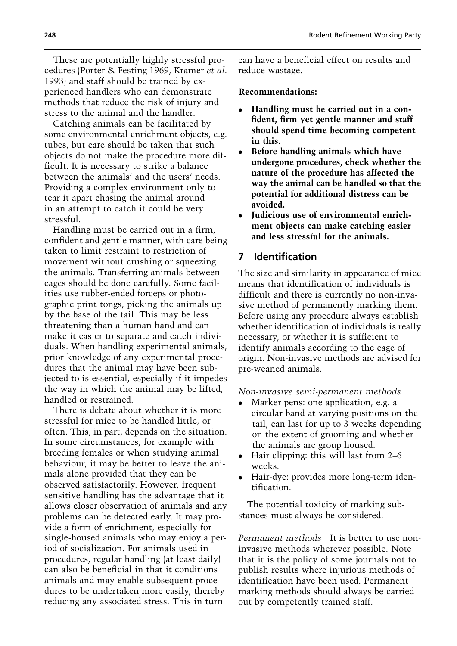These are potentially highly stressful procedures (Porter & Festing 1969, Kramer et al. 1993) and staff should be trained by experienced handlers who can demonstrate methods that reduce the risk of injury and stress to the animal and the handler.

Catching animals can be facilitated by some environmental enrichment objects, e.g. tubes, but care should be taken that such objects do not make the procedure more dif ficult. It is necessary to strike a balance between the animals' and the users' needs. Providing a complex environment only to tear it apart chasing the animal around in an attempt to catch it could be very stressful.

Handling must be carried out in a firm, confident and gentle manner, with care being taken to limit restraint to restriction of movement without crushing or squeezing the animals. Transferring animals between cages should be done carefully. Some facilities use rubber-ended forceps or photographic print tongs, picking the animals up by the base of the tail. This may be less threatening than a human hand and can make it easier to separate and catch individuals. When handling experimental animals, prior knowledge of any experimental procedures that the animal may have been subjected to is essential, especially if it impedes the way in which the animal may be lifted, handled or restrained.

There is debate about whether it is more stressful for mice to be handled little, or often. This, in part, depends on the situation. In some circumstances, for example with breeding females or when studying animal behaviour, it may be better to leave the animals alone provided that they can be observed satisfactorily. However, frequent sensitive handling has the advantage that it allows closer observation of animals and any problems can be detected early. It may provide a form of enrichment, especially for single-housed animals who may enjoy a period of socialization. For animals used in procedures, regular handling (at least daily) can also be beneficial in that it conditions animals and may enable subsequent procedures to be undertaken more easily, thereby reducing any associated stress. This in turn

can have a beneficial effect on results and reduce wastage.

# Recommendations:

- Handling must be carried out in a con fident, firm yet gentle manner and staff should spend time becoming competent in this.
- Before handling animals which have undergone procedures, check whether the nature of the procedure has affected the way the animal can be handled so that the potential for additional distress can be avoided.
- Judicious use of environmental enrichment objects can make catching easier and less stressful for the animals.

# 7 Identification

The size and similarity in appearance of mice means that identification of individuals is difficult and there is currently no non-invasive method of permanently marking them. Before using any procedure always establish whether identification of individuals is really necessary, or whether it is sufficient to identify animals according to the cage of origin. Non-invasive methods are advised for pre-weaned animals.

# Non-invasive semi-permanent methods

- Marker pens: one application, e.g. a circular band at varying positions on the tail, can last for up to 3 weeks depending on the extent of grooming and whether the animals are group housed.
- $\bullet$  Hair clipping: this will last from 2–6 weeks.
- Hair-dye: provides more long-term identification.

The potential toxicity of marking substances must always be considered.

Permanent methods It is better to use noninvasive methods wherever possible. Note that it is the policy of some journals not to publish results where injurious methods of identification have been used. Permanent marking methods should always be carried out by competently trained staff.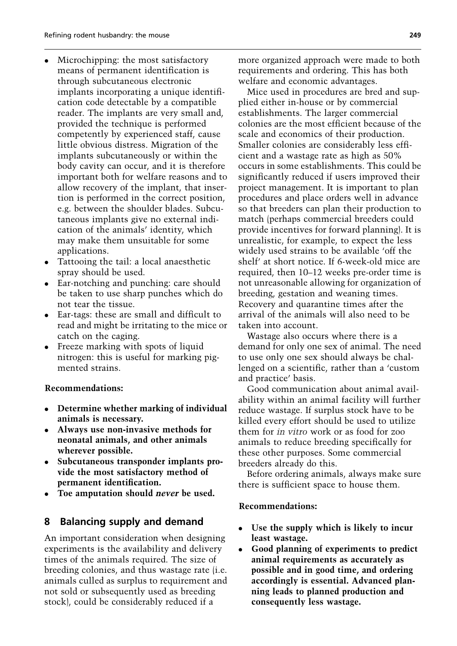- Microchipping: the most satisfactory means of permanent identification is through subcutaneous electronic implants incorporating a unique identification code detectable by a compatible reader. The implants are very small and, provided the technique is performed competently by experienced staff, cause little obvious distress. Migration of the implants subcutaneously or within the body cavity can occur, and it is therefore important both for welfare reasons and to allow recovery of the implant, that insertion is performed in the correct position, e.g. between the shoulder blades. Subcutaneous implants give no external indication of the animals' identity, which may make them unsuitable for some applications.
- Tattooing the tail: a local anaesthetic spray should be used.
- Ear-notching and punching: care should be taken to use sharp punches which do not tear the tissue.
- Ear-tags: these are small and difficult to read and might be irritating to the mice or catch on the caging.
- Freeze marking with spots of liquid nitrogen: this is useful for marking pigmented strains.

# Recommendations:

- Determine whether marking of individual animals is necessary.
- Always use non-invasive methods for neonatal animals, and other animals wherever possible.
- Subcutaneous transponder implants provide the most satisfactory method of permanent identification.
- Toe amputation should never be used.

# 8 Balancing supply and demand

An important consideration when designing experiments is the availability and delivery times of the animals required. The size of breeding colonies, and thus wastage rate (i.e. animals culled as surplus to requirement and not sold or subsequently used as breeding stock), could be considerably reduced if a

more organized approach were made to both requirements and ordering. This has both welfare and economic advantages.

Mice used in procedures are bred and supplied either in-house or by commercial establishments. The larger commercial colonies are the most efficient because of the scale and economics of their production. Smaller colonies are considerably less efficient and a wastage rate as high as 50% occurs in some establishments. This could be significantly reduced if users improved their project management. It is important to plan procedures and place orders well in advance so that breeders can plan their production to match (perhaps commercial breeders could provide incentives for forward planning). It is unrealistic, for example, to expect the less widely used strains to be available 'off the shelf' at short notice. If 6-week-old mice are required, then 10-12 weeks pre-order time is not unreasonable allowing for organization of breeding, gestation and weaning times. Recovery and quarantine times after the arrival of the animals will also need to be taken into account.

Wastage also occurs where there is a demand for only one sex of animal. The need to use only one sex should always be challenged on a scientific, rather than a 'custom and practice' basis.

Good communication about animal availability within an animal facility will further reduce wastage. If surplus stock have to be killed every effort should be used to utilize them for in vitro work or as food for zoo animals to reduce breeding specifically for these other purposes. Some commercial breeders already do this.

Before ordering animals, always make sure there is sufficient space to house them.

#### Recommendations:

- Use the supply which is likely to incur least wastage.
- Good planning of experiments to predict animal requirements as accurately as possible and in good time, and ordering accordingly is essential. Advanced planning leads to planned production and consequently less wastage.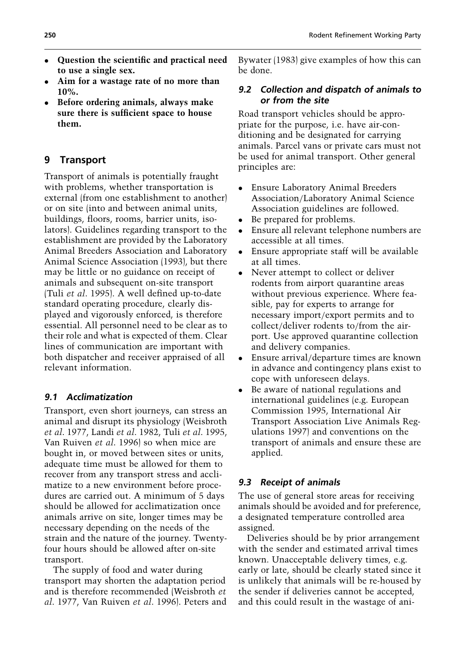- Question the scientific and practical need to use a single sex.
- Aim for a wastage rate of no more than 10%.
- Before ordering animals, always make sure there is sufficient space to house them.

# 9 Transport

Transport of animals is potentially fraught with problems, whether transportation is external (from one establishment to another) or on site (into and between animal units, buildings, floors, rooms, barrier units, isolators). Guidelines regarding transport to the establishment are provided by the Laboratory Animal Breeders Association and Laboratory Animal Science Association (1993), but there may be little or no guidance on receipt of animals and subsequent on-site transport (Tuli et al. 1995). A well defined up-to-date standard operating procedure, clearly displayed and vigorously enforced, is therefore essential. All personnel need to be clear as to their role and what is expected of them. Clear lines of communication are important with both dispatcher and receiver appraised of all relevant information.

# 9.1 Acclimatization

Transport, even short journeys, can stress an animal and disrupt its physiology (Weisbroth et al. 1977, Landi et al. 1982, Tuli et al. 1995, Van Ruiven et al. 1996) so when mice are bought in, or moved between sites or units, adequate time must be allowed for them to recover from any transport stress and acclimatize to a new environment before procedures are carried out. A minimum of 5 days should be allowed for acclimatization once animals arrive on site, longer times may be necessary depending on the needs of the strain and the nature of the journey. Twentyfour hours should be allowed after on-site transport.

The supply of food and water during transport may shorten the adaptation period and is therefore recommended (Weisbroth et al. 1977, Van Ruiven et al. 1996). Peters and Bywater (1983) give examples of how this can be done.

# 9.2 Collection and dispatch of animals to or from the site

Road transport vehicles should be appropriate for the purpose, i.e. have air-conditioning and be designated for carrying animals. Parcel vans or private cars must not be used for animal transport. Other general principles are:

- Ensure Laboratory Animal Breeders Association/Laboratory Animal Science Association guidelines are followed.
- Be prepared for problems.
- Ensure all relevant telephone numbers are accessible at all times.
- Ensure appropriate staff will be available at all times.
- Never attempt to collect or deliver rodents from airport quarantine areas without previous experience. Where feasible, pay for experts to arrange for necessary import/export permits and to collect/deliver rodents to/from the airport. Use approved quarantine collection and delivery companies.
- Ensure arrival/departure times are known in advance and contingency plans exist to cope with unforeseen delays.
- Be aware of national regulations and international guidelines (e.g. European Commission 1995, International Air Transport Association Live Animals Regulations 1997) and conventions on the transport of animals and ensure these are applied.

# 9.3 Receipt of animals

The use of general store areas for receiving animals should be avoided and for preference, a designated temperature controlled area assigned.

Deliveries should be by prior arrangement with the sender and estimated arrival times known. Unacceptable delivery times, e.g. early or late, should be clearly stated since it is unlikely that animals will be re-housed by the sender if deliveries cannot be accepted, and this could result in the wastage of ani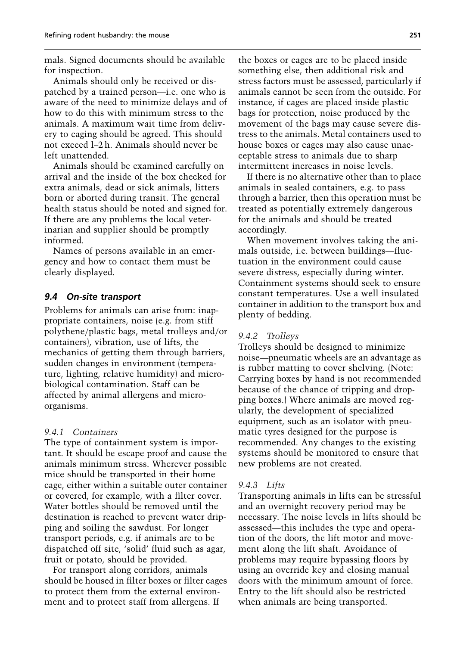mals. Signed documents should be available for inspection.

Animals should only be received or dispatched by a trained person—i.e. one who is aware of the need to minimize delays and of how to do this with minimum stress to the animals. A maximum wait time from delivery to caging should be agreed. This should not exceed l-2 h. Animals should never be left unattended.

Animals should be examined carefully on arrival and the inside of the box checked for extra animals, dead or sick animals, litters born or aborted during transit. The general health status should be noted and signed for. If there are any problems the local veterinarian and supplier should be promptly informed.

Names of persons available in an emergency and how to contact them must be clearly displayed.

#### 9.4 On-site transport

Problems for animals can arise from: inappropriate containers, noise (e.g. from stiff polythene/plastic bags, metal trolleys and/or containers), vibration, use of lifts, the mechanics of getting them through barriers, sudden changes in environment (temperature, lighting, relative humidity) and microbiological contamination. Staff can be affected by animal allergens and microorganisms.

# 9.4.1 Containers

The type of containment system is important. It should be escape proof and cause the animals minimum stress. Wherever possible mice should be transported in their home cage, either within a suitable outer container or covered, for example, with a filter cover. Water bottles should be removed until the destination is reached to prevent water dripping and soiling the sawdust. For longer transport periods, e.g. if animals are to be dispatched off site, 'solid' fluid such as agar, fruit or potato, should be provided.

For transport along corridors, animals should be housed in filter boxes or filter cages to protect them from the external environment and to protect staff from allergens. If

the boxes or cages are to be placed inside something else, then additional risk and stress factors must be assessed, particularly if animals cannot be seen from the outside. For instance, if cages are placed inside plastic bags for protection, noise produced by the movement of the bags may cause severe distress to the animals. Metal containers used to house boxes or cages may also cause unacceptable stress to animals due to sharp intermittent increases in noise levels.

If there is no alternative other than to place animals in sealed containers, e.g. to pass through a barrier, then this operation must be treated as potentially extremely dangerous for the animals and should be treated accordingly.

When movement involves taking the animals outside, i.e. between buildings—fluctuation in the environment could cause severe distress, especially during winter. Containment systems should seek to ensure constant temperatures. Use a well insulated container in addition to the transport box and plenty of bedding.

#### 9.4.2 Trolleys

Trolleys should be designed to minimize noise—pneumatic wheels are an advantage as is rubber matting to cover shelving. (Note: Carrying boxes by hand is not recommended because of the chance of tripping and dropping boxes.) Where animals are moved regularly, the development of specialized equipment, such as an isolator with pneumatic tyres designed for the purpose is recommended. Any changes to the existing systems should be monitored to ensure that new problems are not created.

#### 9.4.3 Lifts

Transporting animals in lifts can be stressful and an overnight recovery period may be necessary. The noise levels in lifts should be assessed—this includes the type and operation of the doors, the lift motor and movement along the lift shaft. Avoidance of problems may require bypassing floors by using an override key and closing manual doors with the minimum amount of force. Entry to the lift should also be restricted when animals are being transported.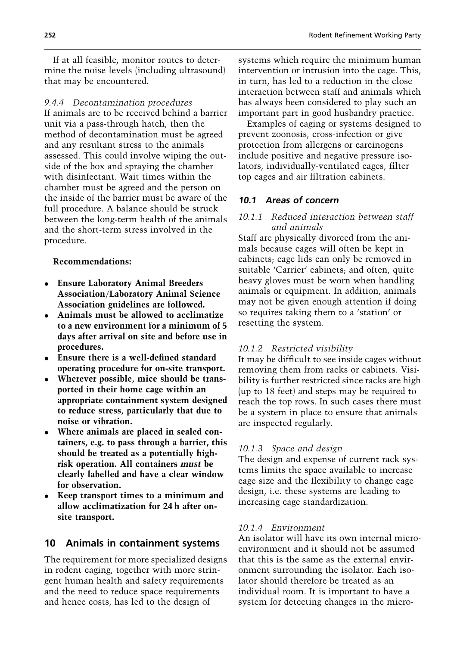If at all feasible, monitor routes to determine the noise levels (including ultrasound) that may be encountered.

9.4.4 Decontamination procedures

If animals are to be received behind a barrier unit via a pass-through hatch, then the method of decontamination must be agreed and any resultant stress to the animals assessed. This could involve wiping the outside of the box and spraying the chamber with disinfectant. Wait times within the chamber must be agreed and the person on the inside of the barrier must be aware of the full procedure. A balance should be struck between the long-term health of the animals and the short-term stress involved in the procedure.

## Recommendations:

- Ensure Laboratory Animal Breeders Association/Laboratory Animal Science Association guidelines are followed.
- Animals must be allowed to acclimatize to a new environment for a minimum of 5 days after arrival on site and before use in procedures.
- Ensure there is a well-defined standard operating procedure for on-site transport.
- Wherever possible, mice should be transported in their home cage within an appropriate containment system designed to reduce stress, particularly that due to noise or vibration.
- Where animals are placed in sealed containers, e.g. to pass through a barrier, this should be treated as a potentially highrisk operation. All containers must be clearly labelled and have a clear window for observation.
- Keep transport times to a minimum and allow acclimatization for 24 h after onsite transport.

# 10 Animals in containment systems

The requirement for more specialized designs in rodent caging, together with more stringent human health and safety requirements and the need to reduce space requirements and hence costs, has led to the design of

systems which require the minimum human intervention or intrusion into the cage. This, in turn, has led to a reduction in the close interaction between staff and animals which has always been considered to play such an important part in good husbandry practice.

Examples of caging or systems designed to prevent zoonosis, cross-infection or give protection from allergens or carcinogens include positive and negative pressure isolators, individually-ventilated cages, filter top cages and air filtration cabinets.

# 10.1 Areas of concern

# 10.1.1 Reduced interaction between staff and animals

Staff are physically divorced from the animals because cages will often be kept in cabinets; cage lids can only be removed in suitable 'Carrier' cabinets; and often, quite heavy gloves must be worn when handling animals or equipment. In addition, animals may not be given enough attention if doing so requires taking them to a 'station' or resetting the system.

# 10.1.2 Restricted visibility

It may be difficult to see inside cages without removing them from racks or cabinets. Visibility is further restricted since racks are high (up to 18 feet) and steps may be required to reach the top rows. In such cases there must be a system in place to ensure that animals are inspected regularly.

# 10.1.3 Space and design

The design and expense of current rack systems limits the space available to increase cage size and the flexibility to change cage design, i.e. these systems are leading to increasing cage standardization.

# 10.1.4 Environment

An isolator will have its own internal microenvironment and it should not be assumed that this is the same as the external environment surrounding the isolator. Each isolator should therefore be treated as an individual room. It is important to have a system for detecting changes in the micro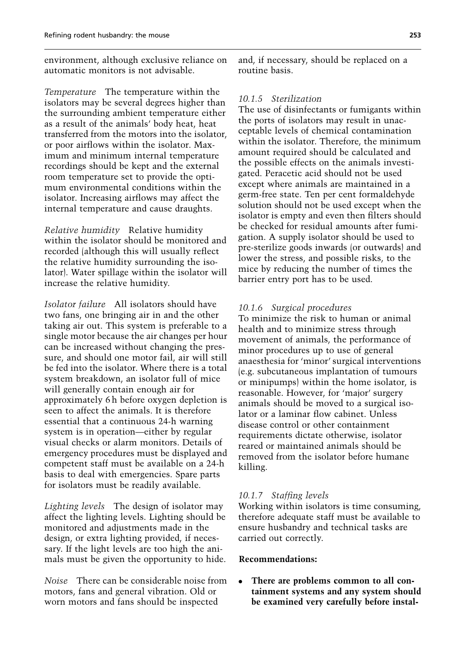environment, although exclusive reliance on automatic monitors is not advisable.

Temperature The temperature within the isolators may be several degrees higher than the surrounding ambient temperature either as a result of the animals' body heat, heat transferred from the motors into the isolator, or poor airflows within the isolator. Maximum and minimum internal temperature recordings should be kept and the external room temperature set to provide the optimum environmental conditions within the isolator. Increasing airflows may affect the internal temperature and cause draughts.

Relative humidity Relative humidity within the isolator should be monitored and recorded (although this will usually reflect the relative humidity surrounding the isolator). Water spillage within the isolator will increase the relative humidity.

Isolator failure All isolators should have two fans, one bringing air in and the other taking air out. This system is preferable to a single motor because the air changes per hour can be increased without changing the pressure, and should one motor fail, air will still be fed into the isolator. Where there is a total system breakdown, an isolator full of mice will generally contain enough air for approximately 6 h before oxygen depletion is seen to affect the animals. It is therefore essential that a continuous 24-h warning system is in operation—either by regular visual checks or alarm monitors. Details of emergency procedures must be displayed and competent staff must be available on a 24-h basis to deal with emergencies. Spare parts for isolators must be readily available.

Lighting levels The design of isolator may affect the lighting levels. Lighting should be monitored and adjustments made in the design, or extra lighting provided, if necessary. If the light levels are too high the animals must be given the opportunity to hide.

Noise There can be considerable noise from motors, fans and general vibration. Old or worn motors and fans should be inspected

and, if necessary, should be replaced on a routine basis.

#### 10.1.5 Sterilization

The use of disinfectants or fumigants within the ports of isolators may result in unacceptable levels of chemical contamination within the isolator. Therefore, the minimum amount required should be calculated and the possible effects on the animals investigated. Peracetic acid should not be used except where animals are maintained in a germ-free state. Ten per cent formaldehyde solution should not be used except when the isolator is empty and even then filters should be checked for residual amounts after fumigation. A supply isolator should be used to pre-sterilize goods inwards (or outwards) and lower the stress, and possible risks, to the mice by reducing the number of times the barrier entry port has to be used.

#### 10.1.6 Surgical procedures

To minimize the risk to human or animal health and to minimize stress through movement of animals, the performance of minor procedures up to use of general anaesthesia for 'minor' surgical interventions (e.g. subcutaneous implantation of tumours or minipumps) within the home isolator, is reasonable. However, for 'major' surgery animals should be moved to a surgical isolator or a laminar flow cabinet. Unless disease control or other containment requirements dictate otherwise, isolator reared or maintained animals should be removed from the isolator before humane killing.

# 10.1.7 Staffing levels

Working within isolators is time consuming, therefore adequate staff must be available to ensure husbandry and technical tasks are carried out correctly.

#### Recommendations:

 There are problems common to all containment systems and any system should be examined very carefully before instal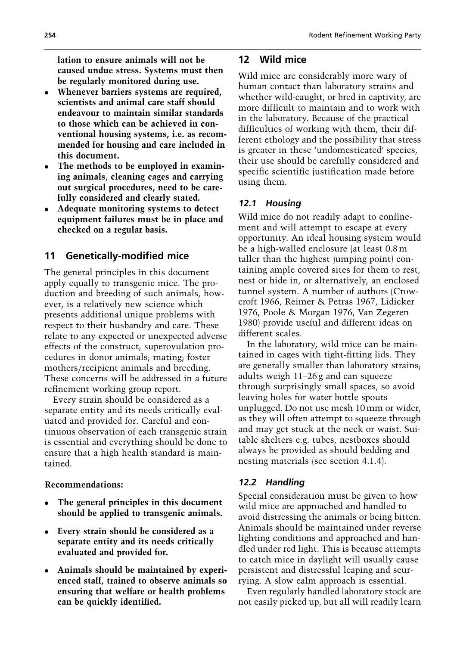lation to ensure animals will not be caused undue stress. Systems must then be regularly monitored during use.

- Whenever barriers systems are required. scientists and animal care staff should endeavour to maintain similar standards to those which can be achieved in conventional housing systems, i.e. as recommended for housing and care included in this document.
- The methods to be employed in examining animals, cleaning cages and carrying out surgical procedures, need to be carefully considered and clearly stated.
- Adequate monitoring systems to detect equipment failures must be in place and checked on a regular basis.

# 11 Genetically-modified mice

The general principles in this document apply equally to transgenic mice. The production and breeding of such animals, however, is a relatively new science which presents additional unique problems with respect to their husbandry and care. These relate to any expected or unexpected adverse effects of the construct; superovulation procedures in donor animals; mating; foster mothers/recipient animals and breeding. These concerns will be addressed in a future refinement working group report.

Every strain should be considered as a separate entity and its needs critically evaluated and provided for. Careful and continuous observation of each transgenic strain is essential and everything should be done to ensure that a high health standard is maintained.

# Recommendations:

- The general principles in this document should be applied to transgenic animals.
- Every strain should be considered as a separate entity and its needs critically evaluated and provided for.
- Animals should be maintained by experienced staff, trained to observe animals so ensuring that welfare or health problems can be quickly identified.

# 12 Wild mice

Wild mice are considerably more wary of human contact than laboratory strains and whether wild-caught, or bred in captivity, are more difficult to maintain and to work with in the laboratory. Because of the practical difficulties of working with them, their different ethology and the possibility that stress is greater in these 'undomesticated' species, their use should be carefully considered and specific scientific justification made before using them.

# 12.1 Housing

Wild mice do not readily adapt to confinement and will attempt to escape at every opportunity. An ideal housing system would be a high-walled enclosure (at least 0.8 m taller than the highest jumping point) containing ample covered sites for them to rest, nest or hide in, or alternatively, an enclosed tunnel system. A number of authors (Crowcroft 1966, Reimer & Petras 1967, Lidicker 1976, Poole & Morgan 1976, Van Zegeren 1980) provide useful and different ideas on different scales.

In the laboratory, wild mice can be maintained in cages with tight-fitting lids. They are generally smaller than laboratory strains; adults weigh  $11-26$  g and can squeeze through surprisingly small spaces, so avoid leaving holes for water bottle spouts unplugged. Do not use mesh 10 mm or wider, as they will often attempt to squeeze through and may get stuck at the neck or waist. Suitable shelters e.g. tubes, nestboxes should always be provided as should bedding and nesting materials (see section 4.1.4).

# 12.2 Handling

Special consideration must be given to how wild mice are approached and handled to avoid distressing the animals or being bitten. Animals should be maintained under reverse lighting conditions and approached and handled under red light. This is because attempts to catch mice in daylight will usually cause persistent and distressful leaping and scurrying. A slow calm approach is essential.

Even regularly handled laboratory stock are not easily picked up, but all will readily learn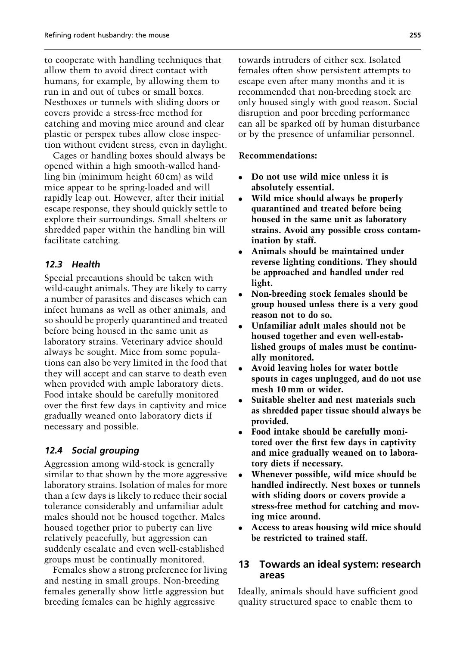to cooperate with handling techniques that allow them to avoid direct contact with humans, for example, by allowing them to run in and out of tubes or small boxes. Nestboxes or tunnels with sliding doors or covers provide a stress-free method for catching and moving mice around and clear plastic or perspex tubes allow close inspection without evident stress, even in daylight.

Cages or handling boxes should always be opened within a high smooth-walled handling bin (minimum height 60 cm) as wild mice appear to be spring-loaded and will rapidly leap out. However, after their initial escape response, they should quickly settle to explore their surroundings. Small shelters or shredded paper within the handling bin will facilitate catching.

# 12.3 Health

Special precautions should be taken with wild-caught animals. They are likely to carry a number of parasites and diseases which can infect humans as well as other animals, and so should be properly quarantined and treated before being housed in the same unit as laboratory strains. Veterinary advice should always be sought. Mice from some populations can also be very limited in the food that they will accept and can starve to death even when provided with ample laboratory diets. Food intake should be carefully monitored over the first few days in captivity and mice gradually weaned onto laboratory diets if necessary and possible.

# 12.4 Social grouping

Aggression among wild-stock is generally similar to that shown by the more aggressive laboratory strains. Isolation of males for more than a few days is likely to reduce their social tolerance considerably and unfamiliar adult males should not be housed together. Males housed together prior to puberty can live relatively peacefully, but aggression can suddenly escalate and even well-established groups must be continually monitored.

Females show a strong preference for living and nesting in small groups. Non-breeding females generally show little aggression but breeding females can be highly aggressive

towards intruders of either sex. Isolated females often show persistent attempts to escape even after many months and it is recommended that non-breeding stock are only housed singly with good reason. Social disruption and poor breeding performance can all be sparked off by human disturbance or by the presence of unfamiliar personnel.

# Recommendations:

- Do not use wild mice unless it is absolutely essential.
- Wild mice should always be properly quarantined and treated before being housed in the same unit as laboratory strains. Avoid any possible cross contamination by staff.
- Animals should be maintained under reverse lighting conditions. They should be approached and handled under red light.
- Non-breeding stock females should be group housed unless there is a very good reason not to do so.
- Unfamiliar adult males should not be housed together and even well-established groups of males must be continually monitored.
- Avoid leaving holes for water bottle spouts in cages unplugged, and do not use mesh 10 mm or wider.
- Suitable shelter and nest materials such as shredded paper tissue should always be provided.
- Food intake should be carefully monitored over the first few days in captivity and mice gradually weaned on to laboratory diets if necessary.
- Whenever possible, wild mice should be handled indirectly. Nest boxes or tunnels with sliding doors or covers provide a stress-free method for catching and moving mice around.
- Access to areas housing wild mice should be restricted to trained staff.

# 13 Towards an ideal system: research areas

Ideally, animals should have sufficient good quality structured space to enable them to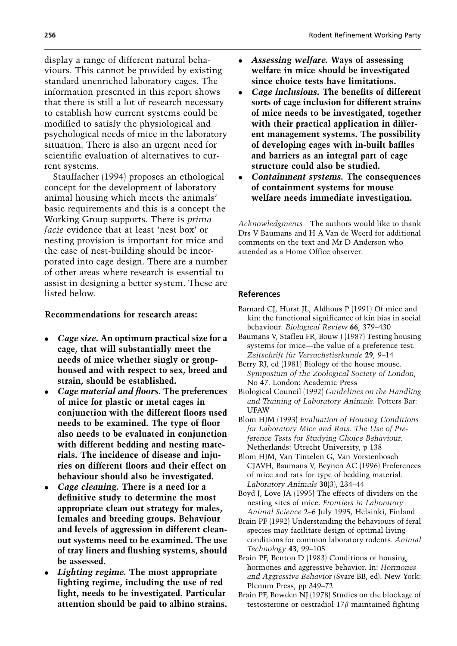display a range of different natural behaviours. This cannot be provided by existing standard unenriched laboratory cages. The information presented in this report shows that there is still a lot of research necessary to establish how current systems could be modified to satisfy the physiological and psychological needs of mice in the laboratory situation. There is also an urgent need for scientific evaluation of alternatives to current systems.

Stauffacher (1994) proposes an ethological concept for the development of laboratory animal housing which meets the animals' basic requirements and this is a concept the Working Group supports. There is prima facie evidence that at least 'nest box' or nesting provision is important for mice and the ease of nest-building should be incorporated into cage design. There are a number of other areas where research is essential to assist in designing a better system. These are listed below.

# Recommendations for research areas:

- Cage size. An optimum practical size for a cage, that will substantially meet the needs of mice whether singly or grouphoused and with respect to sex, breed and strain, should be established.
- Cage material and floors. The preferences of mice for plastic or metal cages in conjunction with the different floors used needs to be examined. The type of floor also needs to be evaluated in conjunction with different bedding and nesting materials. The incidence of disease and injuries on different floors and their effect on behaviour should also be investigated.
- Cage cleaning. There is a need for a definitive study to determine the most appropriate clean out strategy for males, females and breeding groups. Behaviour and levels of aggression in different cleanout systems need to be examined. The use of tray liners and flushing systems, should be assessed.
- Lighting regime. The most appropriate lighting regime, including the use of red light, needs to be investigated. Particular attention should be paid to albino strains.
- Assessing welfare. Ways of assessing welfare in mice should be investigated since choice tests have limitations.
- Cage inclusions. The benefits of different sorts of cage inclusion for different strains of mice needs to be investigated, together with their practical application in different management systems. The possibility of developing cages with in-built baffles and barriers as an integral part of cage structure could also be studied.
- Containment systems. The consequences of containment systems for mouse welfare needs immediate investigation.

Acknowledgments The authors would like to thank Drs V Baumans and H A Van de Weerd for additional comments on the text and Mr D Anderson who attended as a Home Office observer.

#### References

- Barnard CJ, Hurst JL, Aldhous P (1991) Of mice and kin: the functional significance of kin bias in social behaviour. Biological Review 66, 379-430
- Baumans V, Stafleu FR, Bouw J (1987) Testing housing systems for mice—the value of a preference test. Zeitschrift für Versuchstierkunde 29, 9-14
- Berry RJ, ed (1981) Biology of the house mouse. Symposium of the Zoological Society of London, No 47. London: Academic Press
- Biological Council (1992) Guidelines on the Handling and Training of Laboratory Animals. Potters Bar: UFAW
- Blom HJM (1993) Evaluation of Housing Conditions for Laboratory Mice and Rats. The Use of Preference Tests for Studying Choice Behaviour. Netherlands: Utrecht University, p 138
- Blom HJM, Van Tintelen G, Van Vorstenbosch CJAVH, Baumans V, Beynen AC (1996) Preferences of mice and rats for type of bedding material. Laboratory Animals 30(3), 234-44
- Boyd J, Love JA (1995) The effects of dividers on the nesting sites of mice. Frontiers in Laboratory Animal Science 2-6 July 1995, Helsinki, Finland
- Brain PF (1992) Understanding the behaviours of feral species may facilitate design of optimal living conditions for common laboratory rodents. Animal Technology  $43, 99-105$
- Brain PF, Benton D (1983) Conditions of housing, hormones and aggressive behavior. In: Hormones and Aggressive Behavior (Svare BB, ed). New York: Plenum Press, pp 349-72
- Brain PF, Bowden NJ (1978) Studies on the blockage of testosterone or oestradiol  $17\beta$  maintained fighting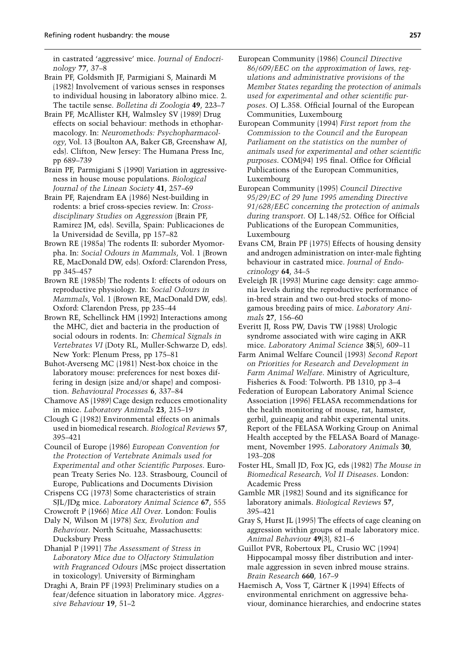in castrated 'aggressive' mice. Journal of Endocrinology 77, 37-8

- Brain PF, Goldsmith JF, Parmigiani S, Mainardi M (1982) Involvement of various senses in responses to individual housing in laboratory albino mice. 2. The tactile sense. Bolletina di Zoologia 49, 223-7
- Brain PF, McAllister KH, Walmsley SV (1989) Drug effects on social behaviour: methods in ethopharmacology. In: Neuromethods: Psychopharmacology, Vol. 13 (Boulton AA, Baker GB, Greenshaw AJ, eds). Clifton, New Jersey: The Humana Press Inc, pp 689-739
- Brain PF, Parmigiani S (1990) Variation in aggressiveness in house mouse populations. Biological Journal of the Linean Society 41, 257-69
- Brain PF, Rajendram EA (1986) Nest-building in rodents: a brief cross-species review. In: Crossdisciplinary Studies on Aggression (Brain PF, Ramirez JM, eds). Sevilla, Spain: Publicaciones de la Universidad de Sevilla, pp 157-82
- Brown RE (1985a) The rodents II: suborder Myomorpha. In: Social Odours in Mammals, Vol. 1 (Brown RE, MacDonald DW, eds). Oxford: Clarendon Press, pp 345-457
- Brown RE (1985b) The rodents I: effects of odours on reproductive physiology. In: Social Odours in Mammals, Vol. 1 (Brown RE, MacDonald DW, eds). Oxford: Clarendon Press, pp 235-44
- Brown RE, Schellinck HM (1992) Interactions among the MHC, diet and bacteria in the production of social odours in rodents. In: Chemical Signals in Vertebrates VI (Doty RL, Muller-Schwarze D, eds). New York: Plenum Press, pp 175-81
- Buhot-Averseng MC (1981) Nest-box choice in the laboratory mouse: preferences for nest boxes differing in design (size and/or shape) and composition. Behavioural Processes 6, 337-84
- Chamove AS (1989) Cage design reduces emotionality in mice. Laboratory Animals 23, 215-19
- Clough G (1982) Environmental effects on animals used in biomedical research. Biological Reviews 57, 395±421
- Council of Europe (1986) European Convention for the Protection of Vertebrate Animals used for Experimental and other Scientific Purposes. European Treaty Series No. 123. Strasbourg, Council of Europe, Publications and Documents Division
- Crispens CG (1973) Some characteristics of strain SJL/JDg mice. Laboratory Animal Science 67, 555
- Crowcroft P (1966) Mice All Over. London: Foulis

Daly N, Wilson M (1978) Sex, Evolution and Behaviour. North Scituahe, Massachusetts: Ducksbury Press

- Dhanjal P (1991) The Assessment of Stress in Laboratory Mice due to Olfactory Stimulation with Fragranced Odours (MSc project dissertation in toxicology). University of Birmingham
- Draghi A, Brain PF (1993) Preliminary studies on a fear/defence situation in laboratory mice. Aggressive Behaviour 19, 51-2
- European Community (1986) Council Directive 86/609/EEC on the approximation of laws, regulations and administrative provisions of the Member States regarding the protection of animals used for experimental and other scientific purposes. OJ L.358. Official Journal of the European Communities, Luxembourg
- European Community (1994) First report from the Commission to the Council and the European Parliament on the statistics on the number of animals used for experimental and other scientific purposes. COM(94) 195 final. Office for Official Publications of the European Communities, Luxembourg
- European Community (1995) Council Directive 95/29/EC of 29 June 1995 amending Directive 91/628/EEC concerning the protection of animals during transport. OJ L.148/52. Office for Official Publications of the European Communities, Luxembourg
- Evans CM, Brain PF (1975) Effects of housing density and androgen administration on inter-male fighting behaviour in castrated mice. Journal of Endo $crinology$  64, 34-5
- Eveleigh JR (1993) Murine cage density: cage ammonia levels during the reproductive performance of in-bred strain and two out-bred stocks of monogamous breeding pairs of mice. Laboratory Animals 27, 156-60
- Everitt JI, Ross PW, Davis TW (1988) Urologic syndrome associated with wire caging in AKR mice. Laboratory Animal Science 38(5), 609-11
- Farm Animal Welfare Council (1993) Second Report on Priorities for Research and Development in Farm Animal Welfare. Ministry of Agriculture, Fisheries & Food: Tolworth. PB 1310, pp 3-4
- Federation of European Laboratory Animal Science Association (1996) FELASA recommendations for the health monitoring of mouse, rat, hamster, gerbil, guineapig and rabbit experimental units. Report of the FELASA Working Group on Animal Health accepted by the FELASA Board of Management, November 1995. Laboratory Animals 30, 193±208
- Foster HL, Small JD, Fox JG, eds (1982) The Mouse in Biomedical Research, Vol II Diseases. London: Academic Press
- Gamble MR (1982) Sound and its significance for laboratory animals. Biological Reviews 57, 395±421
- Gray S, Hurst JL (1995) The effects of cage cleaning on aggression within groups of male laboratory mice. Animal Behaviour 49(3), 821-6
- Guillot PVR, Robertoux PL, Crusio WC (1994) Hippocampal mossy fiber distribution and intermale aggression in seven inbred mouse strains. Brain Research 660, 167-9
- Haemisch A, Voss T, Gärtner K (1994) Effects of environmental enrichment on aggressive behaviour, dominance hierarchies, and endocrine states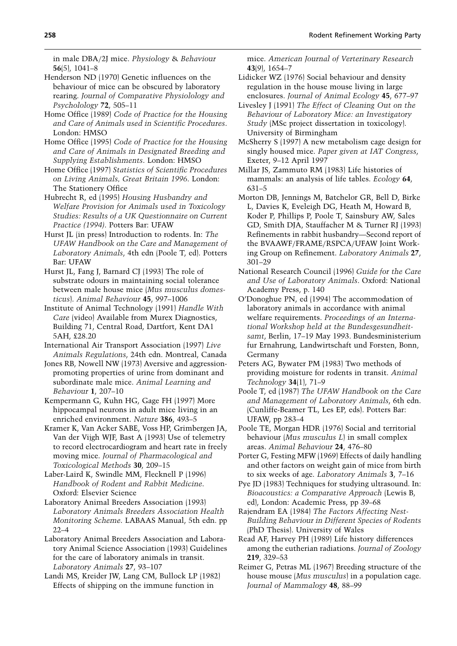in male DBA/2J mice. Physiology & Behaviour 56 $(5)$ , 1041-8

- Henderson ND (1970) Genetic influences on the behaviour of mice can be obscured by laboratory rearing. Journal of Comparative Physiolology and  $Psycholology$  72, 505-11
- Home Office (1989) Code of Practice for the Housing and Care of Animals used in Scientific Procedures. London: HMSO
- Home Office (1995) Code of Practice for the Housing and Care of Animals in Designated Breeding and Supplying Establishments. London: HMSO
- Home Office (1997) Statistics of Scientific Procedures on Living Animals, Great Britain 1996. London: The Stationery Office
- Hubrecht R, ed (1995) Housing Husbandry and Welfare Provision for Animals used in Toxicology Studies: Results of a UK Questionnaire on Current Practice (1994). Potters Bar: UFAW
- Hurst JL (in press) Introduction to rodents. In: The UFAW Handbook on the Care and Management of Laboratory Animals, 4th edn (Poole T, ed). Potters Bar: UFAW
- Hurst JL, Fang J, Barnard CJ (1993) The role of substrate odours in maintaining social tolerance between male house mice (Mus musculus domesticus). Animal Behaviour 45, 997-1006
- Institute of Animal Technology (1991) Handle With Care (video) Available from Murex Diagnostics, Building 71, Central Road, Dartfort, Kent DA1 5AH, £28.20
- International Air Transport Association (1997) Live Animals Regulations, 24th edn. Montreal, Canada
- Jones RB, Nowell NW (1973) Aversive and aggressionpromoting properties of urine from dominant and subordinate male mice. Animal Learning and Behaviour 1, 207-10
- Kempermann G, Kuhn HG, Gage FH (1997) More hippocampal neurons in adult mice living in an enriched environment. Nature 386, 493-5
- Kramer K, Van Acker SABE, Voss HP, Grimbergen JA, Van der Vijgh WJF, Bast A (1993) Use of telemetry to record electrocardiogram and heart rate in freely moving mice. Journal of Pharmacological and Toxicological Methods 30, 209-15
- Laber-Laird K, Swindle MM, Flecknell P (1996) Handbook of Rodent and Rabbit Medicine. Oxford: Elsevier Science
- Laboratory Animal Breeders Association (1993) Laboratory Animals Breeders Association Health Monitoring Scheme. LABAAS Manual, 5th edn. pp  $22 - 4$
- Laboratory Animal Breeders Association and Laboratory Animal Science Association (1993) Guidelines for the care of laboratory animals in transit. Laboratory Animals 27, 93-107
- Landi MS, Kreider JW, Lang CM, Bullock LP (1982) Effects of shipping on the immune function in

mice. American Journal of Verterinary Research 43(9), 1654±7

- Lidicker WZ (1976) Social behaviour and density regulation in the house mouse living in large enclosures. Journal of Animal Ecology 45, 677-97
- Livesley J (1991) The Effect of Cleaning Out on the Behaviour of Laboratory Mice: an Investigatory Study (MSc project dissertation in toxicology). University of Birmingham
- McSherry S (1997) A new metabolism cage design for singly housed mice. Paper given at IAT Congress, Exeter, 9-12 April 1997
- Millar JS, Zammuto RM (1983) Life histories of mammals: an analysis of life tables. Ecology 64, 631±5
- Morton DB, Jennings M, Batchelor GR, Bell D, Birke L, Davies K, Eveleigh DG, Heath M, Howard B, Koder P, Phillips P, Poole T, Sainsbury AW, Sales GD, Smith DJA, Stauffacher M & Turner RJ (1993) Refinements in rabbit husbandry-Second report of the BVAAWF/FRAME/RSPCA/UFAW Joint Working Group on Refinement. Laboratory Animals 27, 301±29
- National Research Council (1996) Guide for the Care and Use of Laboratory Animals. Oxford: National Academy Press, p. 140
- O'Donoghue PN, ed (1994) The accommodation of laboratory animals in accordance with animal welfare requirements. Proceedings of an International Workshop held at the Bundesgesundheitsamt, Berlin, 17-19 May 1993. Bundesministerium fur Ernahrung, Landwirtschaft und Forsten, Bonn, Germany
- Peters AG, Bywater PM (1983) Two methods of providing moisture for rodents in transit. Animal Technology  $34(1)$ ,  $71-9$
- Poole T, ed (1987) The UFAW Handbook on the Care and Management of Laboratory Animals, 6th edn. (Cunliffe-Beamer TL, Les EP, eds). Potters Bar: UFAW, pp 283-4
- Poole TE, Morgan HDR (1976) Social and territorial behaviour (Mus musculus L) in small complex areas. Animal Behaviour 24, 476-80
- Porter G, Festing MFW (1969) Effects of daily handling and other factors on weight gain of mice from birth to six weeks of age. Laboratory Animals  $3, 7-16$
- Pye JD (1983) Techniques for studying ultrasound. In: Bioacoustics: a Comparative Approach (Lewis B, ed), London: Academic Press, pp 39-68
- Rajendram EA (1984) The Factors Affecting Nest-Building Behaviour in Different Species of Rodents (PhD Thesis). University of Wales
- Read AF, Harvey PH (1989) Life history differences among the eutherian radiations. Journal of Zoology 219, 329±53
- Reimer G, Petras ML (1967) Breeding structure of the house mouse (Mus musculus) in a population cage. Journal of Mammalogy 48, 88-99